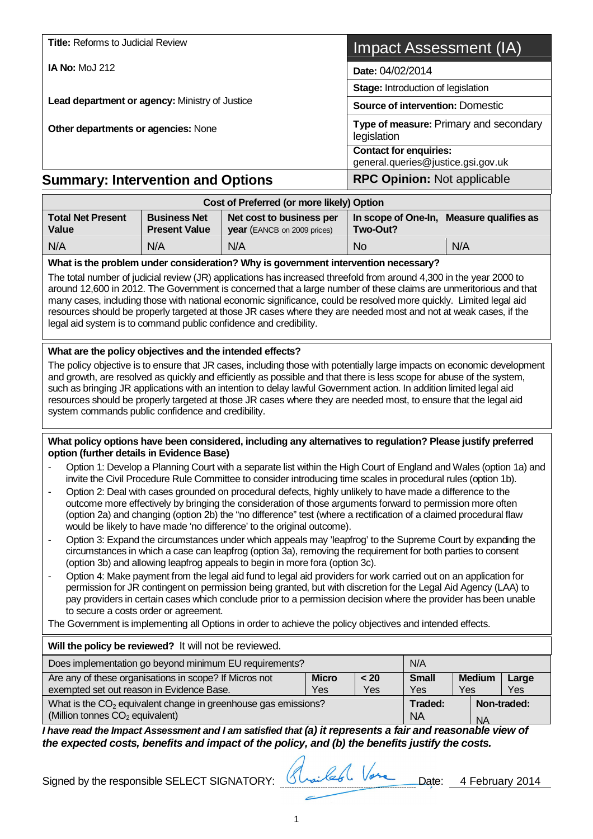| <b>Title: Reforms to Judicial Review</b>       |                                           |                                         | Impact Assessment (IA)                                              |  |  |  |  |
|------------------------------------------------|-------------------------------------------|-----------------------------------------|---------------------------------------------------------------------|--|--|--|--|
| <b>IA No: MoJ 212</b>                          |                                           | Date: 04/02/2014                        |                                                                     |  |  |  |  |
|                                                |                                           |                                         | <b>Stage: Introduction of legislation</b>                           |  |  |  |  |
| Lead department or agency: Ministry of Justice |                                           | <b>Source of intervention: Domestic</b> |                                                                     |  |  |  |  |
| Other departments or agencies: None            |                                           |                                         | Type of measure: Primary and secondary<br>legislation               |  |  |  |  |
|                                                |                                           |                                         | <b>Contact for enquiries:</b><br>general.queries@justice.gsi.gov.uk |  |  |  |  |
| <b>Summary: Intervention and Options</b>       |                                           |                                         | <b>RPC Opinion: Not applicable</b>                                  |  |  |  |  |
|                                                | Cost of Preferred (or more likely) Option |                                         |                                                                     |  |  |  |  |
| <b>Total Net Present</b>                       | <b>Business Net</b>                       | Net cost to business per                | In scope of One-In, Measure qualifies as                            |  |  |  |  |

| <b>Total Net Present</b><br>Value                                                  | <b>Business Net</b><br><b>Present Value</b> | Net cost to business per<br><b>year</b> (EANCB on 2009 prices) | Two-Out?       | In scope of One-In, Measure qualifies as |  |  |  |  |  |
|------------------------------------------------------------------------------------|---------------------------------------------|----------------------------------------------------------------|----------------|------------------------------------------|--|--|--|--|--|
| N/A                                                                                | N/A                                         | N/A                                                            | N <sub>o</sub> | N/A                                      |  |  |  |  |  |
| What is the problem under consideration? Why is government intervention necessary? |                                             |                                                                |                |                                          |  |  |  |  |  |

The total number of judicial review (JR) applications has increased threefold from around 4,300 in the year 2000 to around 12,600 in 2012. The Government is concerned that a large number of these claims are unmeritorious and that many cases, including those with national economic significance, could be resolved more quickly. Limited legal aid resources should be properly targeted at those JR cases where they are needed most and not at weak cases, if the legal aid system is to command public confidence and credibility. l.

#### **What are the policy objectives and the intended effects?**

The policy objective is to ensure that JR cases, including those with potentially large impacts on economic development and growth, are resolved as quickly and efficiently as possible and that there is less scope for abuse of the system, such as bringing JR applications with an intention to delay lawful Government action. In addition limited legal aid resources should be properly targeted at those JR cases where they are needed most, to ensure that the legal aid system commands public confidence and credibility.

#### **What policy options have been considered, including any alternatives to regulation? Please justify preferred option (further details in Evidence Base)**

- Option 1: Develop a Planning Court with a separate list within the High Court of England and Wales (option 1a) and invite the Civil Procedure Rule Committee to consider introducing time scales in procedural rules (option 1b).
- Option 2: Deal with cases grounded on procedural defects, highly unlikely to have made a difference to the outcome more effectively by bringing the consideration of those arguments forward to permission more often (option 2a) and changing (option 2b) the "no difference" test (where a rectification of a claimed procedural flaw would be likely to have made 'no difference' to the original outcome).
- Option 3: Expand the circumstances under which appeals may 'leapfrog' to the Supreme Court by expanding the circumstances in which a case can leapfrog (option 3a), removing the requirement for both parties to consent (option 3b) and allowing leapfrog appeals to begin in more fora (option 3c).
- Option 4: Make payment from the legal aid fund to legal aid providers for work carried out on an application for permission for JR contingent on permission being granted, but with discretion for the Legal Aid Agency (LAA) to pay providers in certain cases which conclude prior to a permission decision where the provider has been unable to secure a costs order or agreement.

The Government is implementing all Options in order to achieve the policy objectives and intended effects.

#### **Will the policy be reviewed?** It will not be reviewed. Does implementation go beyond minimum EU requirements? N/A Are any of these organisations in scope? If Micros not exempted set out reason in Evidence Base. **Micro** Yes **< 20** Yes **Small** Yes **Medium** Yes **Large** Yes What is the  $CO<sub>2</sub>$  equivalent change in greenhouse gas emissions? (Million tonnes  $CO<sub>2</sub>$  equivalent) **Traded:**  NA **Non-traded:**  NA

*I have read the Impact Assessment and I am satisfied that (a) it represents a fair and reasonable view of the expected costs, benefits and impact of the policy, and (b) the benefits justify the costs.*

Signed by the responsible SELECT SIGNATORY: Slow february 2014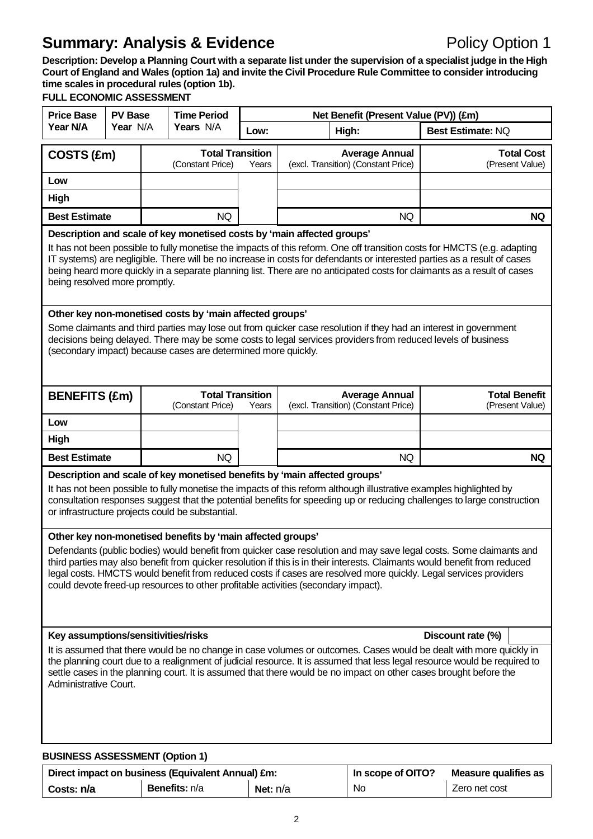**Description: Develop a Planning Court with a separate list under the supervision of a specialist judge in the High Court of England and Wales (option 1a) and invite the Civil Procedure Rule Committee to consider introducing time scales in procedural rules (option 1b).**

## **FULL ECONOMIC ASSESSMENT**

| <b>Price Base</b>                                                                                                                                                                                                                                                                                                                                                                                                                                                                                                                                                                                                                                                                                          |                                                                                                                                                                                                                                                                                                                                                                                                                                                                                            | <b>PV Base</b><br><b>Time Period</b> |                                             | Net Benefit (Present Value (PV)) (£m) |       |                                                              |                                         |  |  |
|------------------------------------------------------------------------------------------------------------------------------------------------------------------------------------------------------------------------------------------------------------------------------------------------------------------------------------------------------------------------------------------------------------------------------------------------------------------------------------------------------------------------------------------------------------------------------------------------------------------------------------------------------------------------------------------------------------|--------------------------------------------------------------------------------------------------------------------------------------------------------------------------------------------------------------------------------------------------------------------------------------------------------------------------------------------------------------------------------------------------------------------------------------------------------------------------------------------|--------------------------------------|---------------------------------------------|---------------------------------------|-------|--------------------------------------------------------------|-----------------------------------------|--|--|
| Year N/A                                                                                                                                                                                                                                                                                                                                                                                                                                                                                                                                                                                                                                                                                                   | Year N/A                                                                                                                                                                                                                                                                                                                                                                                                                                                                                   |                                      | Years N/A                                   | Low:                                  | High: |                                                              | <b>Best Estimate: NQ</b>                |  |  |
| COSTS (£m)                                                                                                                                                                                                                                                                                                                                                                                                                                                                                                                                                                                                                                                                                                 |                                                                                                                                                                                                                                                                                                                                                                                                                                                                                            |                                      | <b>Total Transition</b><br>(Constant Price) | Years                                 |       | <b>Average Annual</b><br>(excl. Transition) (Constant Price) | <b>Total Cost</b><br>(Present Value)    |  |  |
| Low                                                                                                                                                                                                                                                                                                                                                                                                                                                                                                                                                                                                                                                                                                        |                                                                                                                                                                                                                                                                                                                                                                                                                                                                                            |                                      |                                             |                                       |       |                                                              |                                         |  |  |
| High                                                                                                                                                                                                                                                                                                                                                                                                                                                                                                                                                                                                                                                                                                       |                                                                                                                                                                                                                                                                                                                                                                                                                                                                                            |                                      |                                             |                                       |       |                                                              |                                         |  |  |
| <b>Best Estimate</b>                                                                                                                                                                                                                                                                                                                                                                                                                                                                                                                                                                                                                                                                                       |                                                                                                                                                                                                                                                                                                                                                                                                                                                                                            |                                      | <b>NQ</b>                                   |                                       |       | NQ                                                           | <b>NQ</b>                               |  |  |
|                                                                                                                                                                                                                                                                                                                                                                                                                                                                                                                                                                                                                                                                                                            | Description and scale of key monetised costs by 'main affected groups'<br>It has not been possible to fully monetise the impacts of this reform. One off transition costs for HMCTS (e.g. adapting<br>IT systems) are negligible. There will be no increase in costs for defendants or interested parties as a result of cases<br>being heard more quickly in a separate planning list. There are no anticipated costs for claimants as a result of cases<br>being resolved more promptly. |                                      |                                             |                                       |       |                                                              |                                         |  |  |
|                                                                                                                                                                                                                                                                                                                                                                                                                                                                                                                                                                                                                                                                                                            | Other key non-monetised costs by 'main affected groups'<br>Some claimants and third parties may lose out from quicker case resolution if they had an interest in government<br>decisions being delayed. There may be some costs to legal services providers from reduced levels of business<br>(secondary impact) because cases are determined more quickly.                                                                                                                               |                                      |                                             |                                       |       |                                                              |                                         |  |  |
| <b>BENEFITS (£m)</b>                                                                                                                                                                                                                                                                                                                                                                                                                                                                                                                                                                                                                                                                                       |                                                                                                                                                                                                                                                                                                                                                                                                                                                                                            |                                      | <b>Total Transition</b><br>(Constant Price) | Years                                 |       | <b>Average Annual</b><br>(excl. Transition) (Constant Price) | <b>Total Benefit</b><br>(Present Value) |  |  |
| Low                                                                                                                                                                                                                                                                                                                                                                                                                                                                                                                                                                                                                                                                                                        |                                                                                                                                                                                                                                                                                                                                                                                                                                                                                            |                                      |                                             |                                       |       |                                                              |                                         |  |  |
| High                                                                                                                                                                                                                                                                                                                                                                                                                                                                                                                                                                                                                                                                                                       |                                                                                                                                                                                                                                                                                                                                                                                                                                                                                            |                                      |                                             |                                       |       |                                                              |                                         |  |  |
| <b>Best Estimate</b>                                                                                                                                                                                                                                                                                                                                                                                                                                                                                                                                                                                                                                                                                       |                                                                                                                                                                                                                                                                                                                                                                                                                                                                                            |                                      | <b>NQ</b>                                   |                                       |       | <b>NQ</b>                                                    | <b>NQ</b>                               |  |  |
|                                                                                                                                                                                                                                                                                                                                                                                                                                                                                                                                                                                                                                                                                                            | Description and scale of key monetised benefits by 'main affected groups'<br>It has not been possible to fully monetise the impacts of this reform although illustrative examples highlighted by<br>consultation responses suggest that the potential benefits for speeding up or reducing challenges to large construction<br>or infrastructure projects could be substantial.                                                                                                            |                                      |                                             |                                       |       |                                                              |                                         |  |  |
| Other key non-monetised benefits by 'main affected groups'<br>Defendants (public bodies) would benefit from quicker case resolution and may save legal costs. Some claimants and<br>third parties may also benefit from quicker resolution if this is in their interests. Claimants would benefit from reduced<br>legal costs. HMCTS would benefit from reduced costs if cases are resolved more quickly. Legal services providers<br>could devote freed-up resources to other profitable activities (secondary impact).<br>Key assumptions/sensitivities/risks<br>Discount rate (%)<br>It is assumed that there would be no change in case volumes or outcomes. Cases would be dealt with more quickly in |                                                                                                                                                                                                                                                                                                                                                                                                                                                                                            |                                      |                                             |                                       |       |                                                              |                                         |  |  |
| the planning court due to a realignment of judicial resource. It is assumed that less legal resource would be required to<br>settle cases in the planning court. It is assumed that there would be no impact on other cases brought before the<br>Administrative Court.<br><b>BUSINESS ASSESSMENT (Option 1)</b>                                                                                                                                                                                                                                                                                                                                                                                           |                                                                                                                                                                                                                                                                                                                                                                                                                                                                                            |                                      |                                             |                                       |       |                                                              |                                         |  |  |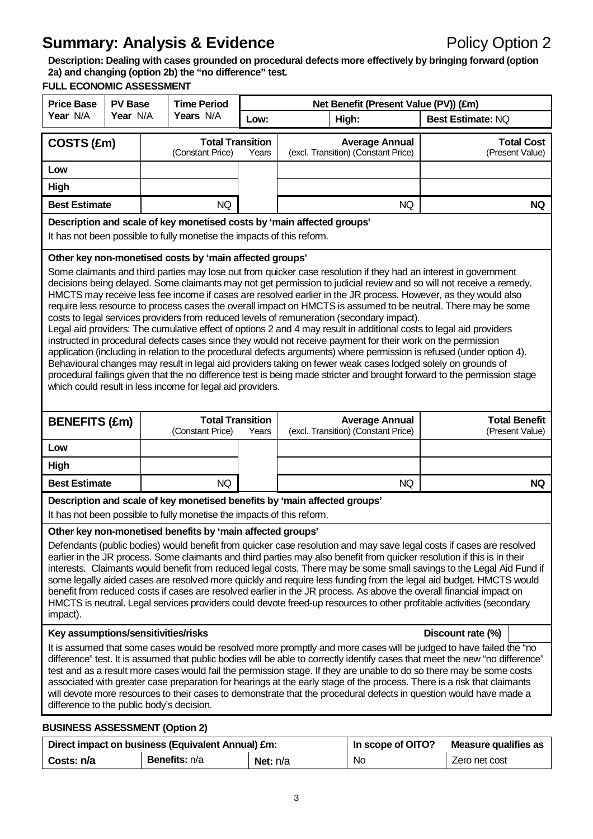**Description: Dealing with cases grounded on procedural defects more effectively by bringing forward (option 2a) and changing (option 2b) the "no difference" test. FULL ECONOMIC ASSESSMENT**

| <b>Price Base</b>                                                                                                                                                                                                                                                                                                                                                                                                                                                                                                                                                                                                                                                                                                                                                                                                         | FULL EUUNUMIU AJJEJJIMEN I<br><b>Time Period</b><br><b>PV Base</b><br>Net Benefit (Present Value (PV)) (£m)                                                                                                                                                                                                                                                                                                                                                                                                                                                                                                                                                                                                                                                                                                                                                                                                                                                                                                                                                                                                                                                                                                                                        |                                                                                                                                                                 |                                                                        |      |                                                                           |                       |                             |                   |
|---------------------------------------------------------------------------------------------------------------------------------------------------------------------------------------------------------------------------------------------------------------------------------------------------------------------------------------------------------------------------------------------------------------------------------------------------------------------------------------------------------------------------------------------------------------------------------------------------------------------------------------------------------------------------------------------------------------------------------------------------------------------------------------------------------------------------|----------------------------------------------------------------------------------------------------------------------------------------------------------------------------------------------------------------------------------------------------------------------------------------------------------------------------------------------------------------------------------------------------------------------------------------------------------------------------------------------------------------------------------------------------------------------------------------------------------------------------------------------------------------------------------------------------------------------------------------------------------------------------------------------------------------------------------------------------------------------------------------------------------------------------------------------------------------------------------------------------------------------------------------------------------------------------------------------------------------------------------------------------------------------------------------------------------------------------------------------------|-----------------------------------------------------------------------------------------------------------------------------------------------------------------|------------------------------------------------------------------------|------|---------------------------------------------------------------------------|-----------------------|-----------------------------|-------------------|
| Year N/A                                                                                                                                                                                                                                                                                                                                                                                                                                                                                                                                                                                                                                                                                                                                                                                                                  | Year N/A                                                                                                                                                                                                                                                                                                                                                                                                                                                                                                                                                                                                                                                                                                                                                                                                                                                                                                                                                                                                                                                                                                                                                                                                                                           |                                                                                                                                                                 | Years N/A                                                              | Low: |                                                                           | High:                 | <b>Best Estimate: NQ</b>    |                   |
|                                                                                                                                                                                                                                                                                                                                                                                                                                                                                                                                                                                                                                                                                                                                                                                                                           |                                                                                                                                                                                                                                                                                                                                                                                                                                                                                                                                                                                                                                                                                                                                                                                                                                                                                                                                                                                                                                                                                                                                                                                                                                                    |                                                                                                                                                                 | <b>Total Transition</b>                                                |      |                                                                           | <b>Average Annual</b> |                             | <b>Total Cost</b> |
| COSTS (£m)                                                                                                                                                                                                                                                                                                                                                                                                                                                                                                                                                                                                                                                                                                                                                                                                                |                                                                                                                                                                                                                                                                                                                                                                                                                                                                                                                                                                                                                                                                                                                                                                                                                                                                                                                                                                                                                                                                                                                                                                                                                                                    | (Constant Price)                                                                                                                                                | Years                                                                  |      | (excl. Transition) (Constant Price)                                       |                       | (Present Value)             |                   |
| Low                                                                                                                                                                                                                                                                                                                                                                                                                                                                                                                                                                                                                                                                                                                                                                                                                       |                                                                                                                                                                                                                                                                                                                                                                                                                                                                                                                                                                                                                                                                                                                                                                                                                                                                                                                                                                                                                                                                                                                                                                                                                                                    |                                                                                                                                                                 |                                                                        |      |                                                                           |                       |                             |                   |
| High                                                                                                                                                                                                                                                                                                                                                                                                                                                                                                                                                                                                                                                                                                                                                                                                                      |                                                                                                                                                                                                                                                                                                                                                                                                                                                                                                                                                                                                                                                                                                                                                                                                                                                                                                                                                                                                                                                                                                                                                                                                                                                    |                                                                                                                                                                 |                                                                        |      |                                                                           |                       |                             |                   |
| <b>Best Estimate</b>                                                                                                                                                                                                                                                                                                                                                                                                                                                                                                                                                                                                                                                                                                                                                                                                      |                                                                                                                                                                                                                                                                                                                                                                                                                                                                                                                                                                                                                                                                                                                                                                                                                                                                                                                                                                                                                                                                                                                                                                                                                                                    |                                                                                                                                                                 | <b>NQ</b>                                                              |      |                                                                           | <b>NQ</b>             |                             | <b>NQ</b>         |
|                                                                                                                                                                                                                                                                                                                                                                                                                                                                                                                                                                                                                                                                                                                                                                                                                           |                                                                                                                                                                                                                                                                                                                                                                                                                                                                                                                                                                                                                                                                                                                                                                                                                                                                                                                                                                                                                                                                                                                                                                                                                                                    |                                                                                                                                                                 |                                                                        |      | Description and scale of key monetised costs by 'main affected groups'    |                       |                             |                   |
|                                                                                                                                                                                                                                                                                                                                                                                                                                                                                                                                                                                                                                                                                                                                                                                                                           |                                                                                                                                                                                                                                                                                                                                                                                                                                                                                                                                                                                                                                                                                                                                                                                                                                                                                                                                                                                                                                                                                                                                                                                                                                                    |                                                                                                                                                                 | It has not been possible to fully monetise the impacts of this reform. |      |                                                                           |                       |                             |                   |
| Other key non-monetised costs by 'main affected groups'                                                                                                                                                                                                                                                                                                                                                                                                                                                                                                                                                                                                                                                                                                                                                                   |                                                                                                                                                                                                                                                                                                                                                                                                                                                                                                                                                                                                                                                                                                                                                                                                                                                                                                                                                                                                                                                                                                                                                                                                                                                    |                                                                                                                                                                 |                                                                        |      |                                                                           |                       |                             |                   |
|                                                                                                                                                                                                                                                                                                                                                                                                                                                                                                                                                                                                                                                                                                                                                                                                                           | Some claimants and third parties may lose out from quicker case resolution if they had an interest in government<br>decisions being delayed. Some claimants may not get permission to judicial review and so will not receive a remedy.<br>HMCTS may receive less fee income if cases are resolved earlier in the JR process. However, as they would also<br>require less resource to process cases the overall impact on HMCTS is assumed to be neutral. There may be some<br>costs to legal services providers from reduced levels of remuneration (secondary impact).<br>Legal aid providers: The cumulative effect of options 2 and 4 may result in additional costs to legal aid providers<br>instructed in procedural defects cases since they would not receive payment for their work on the permission<br>application (including in relation to the procedural defects arguments) where permission is refused (under option 4).<br>Behavioural changes may result in legal aid providers taking on fewer weak cases lodged solely on grounds of<br>procedural failings given that the no difference test is being made stricter and brought forward to the permission stage<br>which could result in less income for legal aid providers. |                                                                                                                                                                 |                                                                        |      |                                                                           |                       |                             |                   |
| <b>BENEFITS (£m)</b>                                                                                                                                                                                                                                                                                                                                                                                                                                                                                                                                                                                                                                                                                                                                                                                                      |                                                                                                                                                                                                                                                                                                                                                                                                                                                                                                                                                                                                                                                                                                                                                                                                                                                                                                                                                                                                                                                                                                                                                                                                                                                    | <b>Total Transition</b><br><b>Total Benefit</b><br><b>Average Annual</b><br>(Constant Price)<br>(excl. Transition) (Constant Price)<br>(Present Value)<br>Years |                                                                        |      |                                                                           |                       |                             |                   |
| Low                                                                                                                                                                                                                                                                                                                                                                                                                                                                                                                                                                                                                                                                                                                                                                                                                       |                                                                                                                                                                                                                                                                                                                                                                                                                                                                                                                                                                                                                                                                                                                                                                                                                                                                                                                                                                                                                                                                                                                                                                                                                                                    |                                                                                                                                                                 |                                                                        |      |                                                                           |                       |                             |                   |
| High                                                                                                                                                                                                                                                                                                                                                                                                                                                                                                                                                                                                                                                                                                                                                                                                                      |                                                                                                                                                                                                                                                                                                                                                                                                                                                                                                                                                                                                                                                                                                                                                                                                                                                                                                                                                                                                                                                                                                                                                                                                                                                    |                                                                                                                                                                 |                                                                        |      |                                                                           |                       |                             |                   |
| <b>Best Estimate</b>                                                                                                                                                                                                                                                                                                                                                                                                                                                                                                                                                                                                                                                                                                                                                                                                      |                                                                                                                                                                                                                                                                                                                                                                                                                                                                                                                                                                                                                                                                                                                                                                                                                                                                                                                                                                                                                                                                                                                                                                                                                                                    |                                                                                                                                                                 | <b>NQ</b>                                                              |      |                                                                           | NQ                    |                             | <b>NQ</b>         |
|                                                                                                                                                                                                                                                                                                                                                                                                                                                                                                                                                                                                                                                                                                                                                                                                                           |                                                                                                                                                                                                                                                                                                                                                                                                                                                                                                                                                                                                                                                                                                                                                                                                                                                                                                                                                                                                                                                                                                                                                                                                                                                    |                                                                                                                                                                 |                                                                        |      | Description and scale of key monetised benefits by 'main affected groups' |                       |                             |                   |
|                                                                                                                                                                                                                                                                                                                                                                                                                                                                                                                                                                                                                                                                                                                                                                                                                           |                                                                                                                                                                                                                                                                                                                                                                                                                                                                                                                                                                                                                                                                                                                                                                                                                                                                                                                                                                                                                                                                                                                                                                                                                                                    |                                                                                                                                                                 | It has not been possible to fully monetise the impacts of this reform. |      |                                                                           |                       |                             |                   |
| Other key non-monetised benefits by 'main affected groups'<br>Defendants (public bodies) would benefit from quicker case resolution and may save legal costs if cases are resolved<br>earlier in the JR process. Some claimants and third parties may also benefit from quicker resolution if this is in their<br>interests. Claimants would benefit from reduced legal costs. There may be some small savings to the Legal Aid Fund if<br>some legally aided cases are resolved more quickly and require less funding from the legal aid budget. HMCTS would<br>benefit from reduced costs if cases are resolved earlier in the JR process. As above the overall financial impact on<br>HMCTS is neutral. Legal services providers could devote freed-up resources to other profitable activities (secondary<br>impact). |                                                                                                                                                                                                                                                                                                                                                                                                                                                                                                                                                                                                                                                                                                                                                                                                                                                                                                                                                                                                                                                                                                                                                                                                                                                    |                                                                                                                                                                 |                                                                        |      |                                                                           |                       |                             |                   |
| Key assumptions/sensitivities/risks                                                                                                                                                                                                                                                                                                                                                                                                                                                                                                                                                                                                                                                                                                                                                                                       |                                                                                                                                                                                                                                                                                                                                                                                                                                                                                                                                                                                                                                                                                                                                                                                                                                                                                                                                                                                                                                                                                                                                                                                                                                                    |                                                                                                                                                                 |                                                                        |      |                                                                           |                       | Discount rate (%)           |                   |
| It is assumed that some cases would be resolved more promptly and more cases will be judged to have failed the "no<br>difference" test. It is assumed that public bodies will be able to correctly identify cases that meet the new "no difference"<br>test and as a result more cases would fail the permission stage. If they are unable to do so there may be some costs<br>associated with greater case preparation for hearings at the early stage of the process. There is a risk that claimants<br>will devote more resources to their cases to demonstrate that the procedural defects in question would have made a<br>difference to the public body's decision.                                                                                                                                                 |                                                                                                                                                                                                                                                                                                                                                                                                                                                                                                                                                                                                                                                                                                                                                                                                                                                                                                                                                                                                                                                                                                                                                                                                                                                    |                                                                                                                                                                 |                                                                        |      |                                                                           |                       |                             |                   |
| <b>BUSINESS ASSESSMENT (Option 2)</b>                                                                                                                                                                                                                                                                                                                                                                                                                                                                                                                                                                                                                                                                                                                                                                                     |                                                                                                                                                                                                                                                                                                                                                                                                                                                                                                                                                                                                                                                                                                                                                                                                                                                                                                                                                                                                                                                                                                                                                                                                                                                    |                                                                                                                                                                 |                                                                        |      |                                                                           |                       |                             |                   |
|                                                                                                                                                                                                                                                                                                                                                                                                                                                                                                                                                                                                                                                                                                                                                                                                                           | Direct impact on business (Equivalent Annual) £m:                                                                                                                                                                                                                                                                                                                                                                                                                                                                                                                                                                                                                                                                                                                                                                                                                                                                                                                                                                                                                                                                                                                                                                                                  |                                                                                                                                                                 |                                                                        |      |                                                                           | In scope of OITO?     | <b>Measure qualifies as</b> |                   |

**Costs: n/a Benefits:** n/a **Net:** n/a **No**  $\vert$  No  $\vert$  Zero net cost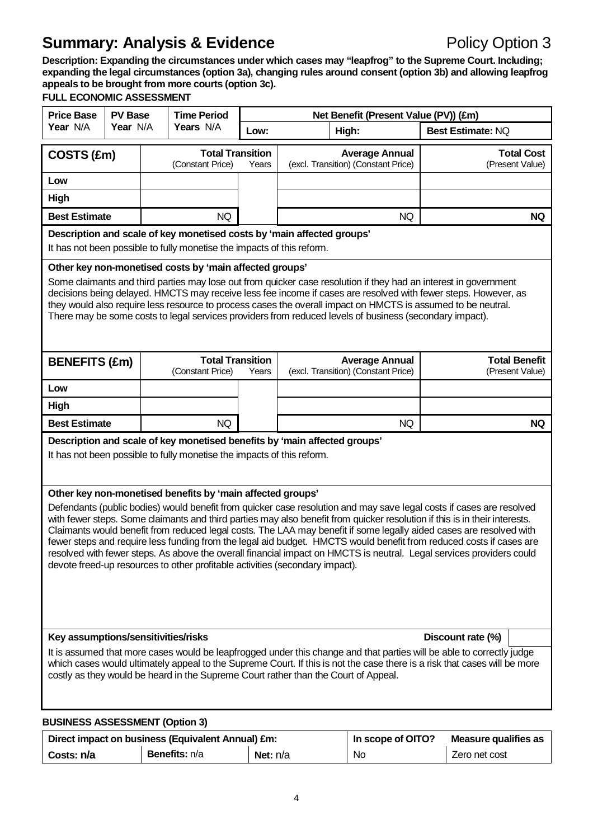**Description: Expanding the circumstances under which cases may "leapfrog" to the Supreme Court. Including; expanding the legal circumstances (option 3a), changing rules around consent (option 3b) and allowing leapfrog appeals to be brought from more courts (option 3c).**

## **FULL ECONOMIC ASSESSMENT**

| <b>Price Base</b><br><b>PV Base</b>                                                                                                                                                                                                                                                                                                                                                                                                                                                                                                                                                                                                                                                                                                                                    |                                                                                                                                                     | <b>Time Period</b> |                                                                        | Net Benefit (Present Value (PV)) (£m) |       |                                                                                                         |                                                                                                                                                                                                                                                                                                                                                    |                                      |  |
|------------------------------------------------------------------------------------------------------------------------------------------------------------------------------------------------------------------------------------------------------------------------------------------------------------------------------------------------------------------------------------------------------------------------------------------------------------------------------------------------------------------------------------------------------------------------------------------------------------------------------------------------------------------------------------------------------------------------------------------------------------------------|-----------------------------------------------------------------------------------------------------------------------------------------------------|--------------------|------------------------------------------------------------------------|---------------------------------------|-------|---------------------------------------------------------------------------------------------------------|----------------------------------------------------------------------------------------------------------------------------------------------------------------------------------------------------------------------------------------------------------------------------------------------------------------------------------------------------|--------------------------------------|--|
| Year N/A                                                                                                                                                                                                                                                                                                                                                                                                                                                                                                                                                                                                                                                                                                                                                               | Year N/A                                                                                                                                            |                    | Years N/A                                                              | Low:                                  | High: |                                                                                                         | Best Estimate: NQ                                                                                                                                                                                                                                                                                                                                  |                                      |  |
| COSTS (£m)                                                                                                                                                                                                                                                                                                                                                                                                                                                                                                                                                                                                                                                                                                                                                             |                                                                                                                                                     |                    | <b>Total Transition</b><br>(Constant Price)                            | Years                                 |       | <b>Average Annual</b><br>(excl. Transition) (Constant Price)                                            |                                                                                                                                                                                                                                                                                                                                                    | <b>Total Cost</b><br>(Present Value) |  |
| Low                                                                                                                                                                                                                                                                                                                                                                                                                                                                                                                                                                                                                                                                                                                                                                    |                                                                                                                                                     |                    |                                                                        |                                       |       |                                                                                                         |                                                                                                                                                                                                                                                                                                                                                    |                                      |  |
| High                                                                                                                                                                                                                                                                                                                                                                                                                                                                                                                                                                                                                                                                                                                                                                   |                                                                                                                                                     |                    |                                                                        |                                       |       |                                                                                                         |                                                                                                                                                                                                                                                                                                                                                    |                                      |  |
| <b>Best Estimate</b>                                                                                                                                                                                                                                                                                                                                                                                                                                                                                                                                                                                                                                                                                                                                                   |                                                                                                                                                     |                    | <b>NQ</b>                                                              |                                       |       | <b>NQ</b>                                                                                               |                                                                                                                                                                                                                                                                                                                                                    | <b>NQ</b>                            |  |
|                                                                                                                                                                                                                                                                                                                                                                                                                                                                                                                                                                                                                                                                                                                                                                        |                                                                                                                                                     |                    | Description and scale of key monetised costs by 'main affected groups' |                                       |       |                                                                                                         |                                                                                                                                                                                                                                                                                                                                                    |                                      |  |
|                                                                                                                                                                                                                                                                                                                                                                                                                                                                                                                                                                                                                                                                                                                                                                        | It has not been possible to fully monetise the impacts of this reform.                                                                              |                    |                                                                        |                                       |       |                                                                                                         |                                                                                                                                                                                                                                                                                                                                                    |                                      |  |
|                                                                                                                                                                                                                                                                                                                                                                                                                                                                                                                                                                                                                                                                                                                                                                        |                                                                                                                                                     |                    | Other key non-monetised costs by 'main affected groups'                |                                       |       | There may be some costs to legal services providers from reduced levels of business (secondary impact). | Some claimants and third parties may lose out from quicker case resolution if they had an interest in government<br>decisions being delayed. HMCTS may receive less fee income if cases are resolved with fewer steps. However, as<br>they would also require less resource to process cases the overall impact on HMCTS is assumed to be neutral. |                                      |  |
| <b>BENEFITS (£m)</b>                                                                                                                                                                                                                                                                                                                                                                                                                                                                                                                                                                                                                                                                                                                                                   |                                                                                                                                                     |                    | <b>Total Transition</b>                                                |                                       |       | <b>Average Annual</b>                                                                                   |                                                                                                                                                                                                                                                                                                                                                    | <b>Total Benefit</b>                 |  |
| Low                                                                                                                                                                                                                                                                                                                                                                                                                                                                                                                                                                                                                                                                                                                                                                    |                                                                                                                                                     |                    | (Constant Price)                                                       | Years                                 |       | (excl. Transition) (Constant Price)                                                                     |                                                                                                                                                                                                                                                                                                                                                    | (Present Value)                      |  |
| High                                                                                                                                                                                                                                                                                                                                                                                                                                                                                                                                                                                                                                                                                                                                                                   |                                                                                                                                                     |                    |                                                                        |                                       |       |                                                                                                         |                                                                                                                                                                                                                                                                                                                                                    |                                      |  |
| <b>Best Estimate</b>                                                                                                                                                                                                                                                                                                                                                                                                                                                                                                                                                                                                                                                                                                                                                   |                                                                                                                                                     |                    | <b>NQ</b>                                                              |                                       |       | <b>NQ</b>                                                                                               |                                                                                                                                                                                                                                                                                                                                                    | <b>NQ</b>                            |  |
|                                                                                                                                                                                                                                                                                                                                                                                                                                                                                                                                                                                                                                                                                                                                                                        |                                                                                                                                                     |                    |                                                                        |                                       |       |                                                                                                         |                                                                                                                                                                                                                                                                                                                                                    |                                      |  |
|                                                                                                                                                                                                                                                                                                                                                                                                                                                                                                                                                                                                                                                                                                                                                                        | Description and scale of key monetised benefits by 'main affected groups'<br>It has not been possible to fully monetise the impacts of this reform. |                    |                                                                        |                                       |       |                                                                                                         |                                                                                                                                                                                                                                                                                                                                                    |                                      |  |
| Other key non-monetised benefits by 'main affected groups'<br>Defendants (public bodies) would benefit from quicker case resolution and may save legal costs if cases are resolved<br>with fewer steps. Some claimants and third parties may also benefit from quicker resolution if this is in their interests.<br>Claimants would benefit from reduced legal costs. The LAA may benefit if some legally aided cases are resolved with<br>fewer steps and require less funding from the legal aid budget. HMCTS would benefit from reduced costs if cases are<br>resolved with fewer steps. As above the overall financial impact on HMCTS is neutral. Legal services providers could<br>devote freed-up resources to other profitable activities (secondary impact). |                                                                                                                                                     |                    |                                                                        |                                       |       |                                                                                                         |                                                                                                                                                                                                                                                                                                                                                    |                                      |  |
| Key assumptions/sensitivities/risks<br>Discount rate (%)                                                                                                                                                                                                                                                                                                                                                                                                                                                                                                                                                                                                                                                                                                               |                                                                                                                                                     |                    |                                                                        |                                       |       |                                                                                                         |                                                                                                                                                                                                                                                                                                                                                    |                                      |  |
| It is assumed that more cases would be leapfrogged under this change and that parties will be able to correctly judge<br>which cases would ultimately appeal to the Supreme Court. If this is not the case there is a risk that cases will be more<br>costly as they would be heard in the Supreme Court rather than the Court of Appeal.                                                                                                                                                                                                                                                                                                                                                                                                                              |                                                                                                                                                     |                    |                                                                        |                                       |       |                                                                                                         |                                                                                                                                                                                                                                                                                                                                                    |                                      |  |
| <b>BUSINESS ASSESSMENT (Option 3)</b>                                                                                                                                                                                                                                                                                                                                                                                                                                                                                                                                                                                                                                                                                                                                  |                                                                                                                                                     |                    |                                                                        |                                       |       |                                                                                                         |                                                                                                                                                                                                                                                                                                                                                    |                                      |  |

|            | Direct impact on business (Equivalent Annual) £m: | In scope of OITO? | Measure qualifies as |               |
|------------|---------------------------------------------------|-------------------|----------------------|---------------|
| Costs: n/a | Benefits: n/a                                     | <b>Net:</b> $n/a$ | No                   | Zero net cost |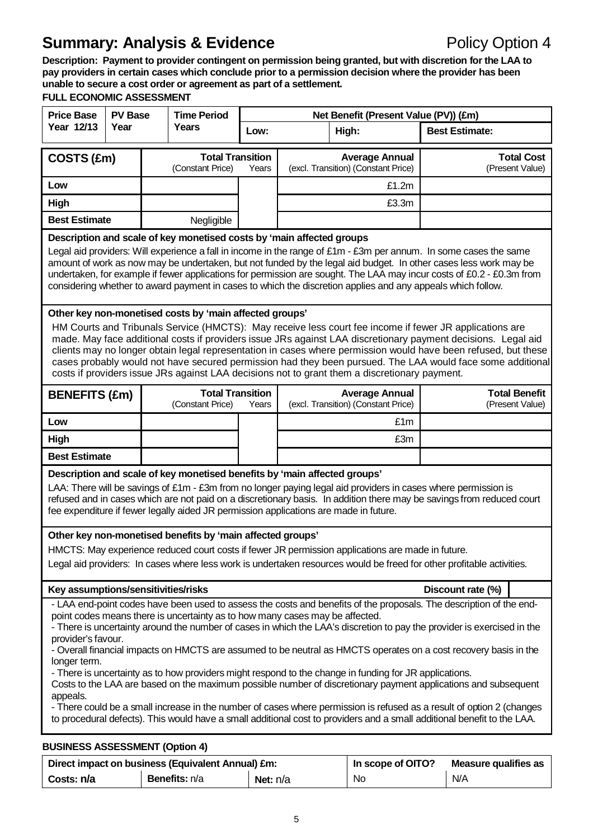**Description: Payment to provider contingent on permission being granted, but with discretion for the LAA to pay providers in certain cases which conclude prior to a permission decision where the provider has been unable to secure a cost order or agreement as part of a settlement.**

## **FULL ECONOMIC ASSESSMENT**

| <b>Price Base</b><br><b>PV Base</b>                                                                                                                                                                                                                                                                                                                                                                                                                                                                                                                                                                                                                                                                                                                                                                                                                                                                                                                                                  |                                                                                                                                                                                                                                                                                                                                                                                                                                                                                                                                                                                                                      | <b>Time Period</b> |                                                                                                                                                                    | Net Benefit (Present Value (PV)) (£m) |                                                              |                                                              |                                                                                                                                                                                                                                         |  |
|--------------------------------------------------------------------------------------------------------------------------------------------------------------------------------------------------------------------------------------------------------------------------------------------------------------------------------------------------------------------------------------------------------------------------------------------------------------------------------------------------------------------------------------------------------------------------------------------------------------------------------------------------------------------------------------------------------------------------------------------------------------------------------------------------------------------------------------------------------------------------------------------------------------------------------------------------------------------------------------|----------------------------------------------------------------------------------------------------------------------------------------------------------------------------------------------------------------------------------------------------------------------------------------------------------------------------------------------------------------------------------------------------------------------------------------------------------------------------------------------------------------------------------------------------------------------------------------------------------------------|--------------------|--------------------------------------------------------------------------------------------------------------------------------------------------------------------|---------------------------------------|--------------------------------------------------------------|--------------------------------------------------------------|-----------------------------------------------------------------------------------------------------------------------------------------------------------------------------------------------------------------------------------------|--|
| Year 12/13                                                                                                                                                                                                                                                                                                                                                                                                                                                                                                                                                                                                                                                                                                                                                                                                                                                                                                                                                                           | Year                                                                                                                                                                                                                                                                                                                                                                                                                                                                                                                                                                                                                 |                    | Years                                                                                                                                                              | Low:                                  | High:                                                        |                                                              | <b>Best Estimate:</b>                                                                                                                                                                                                                   |  |
| <b>Total Transition</b><br>COSTS (£m)<br>(Constant Price)                                                                                                                                                                                                                                                                                                                                                                                                                                                                                                                                                                                                                                                                                                                                                                                                                                                                                                                            |                                                                                                                                                                                                                                                                                                                                                                                                                                                                                                                                                                                                                      |                    | Years                                                                                                                                                              |                                       | <b>Average Annual</b><br>(excl. Transition) (Constant Price) | <b>Total Cost</b><br>(Present Value)                         |                                                                                                                                                                                                                                         |  |
| Low                                                                                                                                                                                                                                                                                                                                                                                                                                                                                                                                                                                                                                                                                                                                                                                                                                                                                                                                                                                  |                                                                                                                                                                                                                                                                                                                                                                                                                                                                                                                                                                                                                      |                    |                                                                                                                                                                    |                                       |                                                              | £1.2m                                                        |                                                                                                                                                                                                                                         |  |
| High                                                                                                                                                                                                                                                                                                                                                                                                                                                                                                                                                                                                                                                                                                                                                                                                                                                                                                                                                                                 |                                                                                                                                                                                                                                                                                                                                                                                                                                                                                                                                                                                                                      |                    |                                                                                                                                                                    |                                       |                                                              | £3.3m                                                        |                                                                                                                                                                                                                                         |  |
| <b>Best Estimate</b>                                                                                                                                                                                                                                                                                                                                                                                                                                                                                                                                                                                                                                                                                                                                                                                                                                                                                                                                                                 |                                                                                                                                                                                                                                                                                                                                                                                                                                                                                                                                                                                                                      |                    | Negligible                                                                                                                                                         |                                       |                                                              |                                                              |                                                                                                                                                                                                                                         |  |
|                                                                                                                                                                                                                                                                                                                                                                                                                                                                                                                                                                                                                                                                                                                                                                                                                                                                                                                                                                                      | Description and scale of key monetised costs by 'main affected groups<br>Legal aid providers: Will experience a fall in income in the range of £1m - £3m per annum. In some cases the same<br>amount of work as now may be undertaken, but not funded by the legal aid budget. In other cases less work may be<br>undertaken, for example if fewer applications for permission are sought. The LAA may incur costs of £0.2 - £0.3m from<br>considering whether to award payment in cases to which the discretion applies and any appeals which follow.                                                               |                    |                                                                                                                                                                    |                                       |                                                              |                                                              |                                                                                                                                                                                                                                         |  |
|                                                                                                                                                                                                                                                                                                                                                                                                                                                                                                                                                                                                                                                                                                                                                                                                                                                                                                                                                                                      | Other key non-monetised costs by 'main affected groups'<br>HM Courts and Tribunals Service (HMCTS): May receive less court fee income if fewer JR applications are<br>made. May face additional costs if providers issue JRs against LAA discretionary payment decisions. Legal aid<br>clients may no longer obtain legal representation in cases where permission would have been refused, but these<br>cases probably would not have secured permission had they been pursued. The LAA would face some additional<br>costs if providers issue JRs against LAA decisions not to grant them a discretionary payment. |                    |                                                                                                                                                                    |                                       |                                                              |                                                              |                                                                                                                                                                                                                                         |  |
| <b>BENEFITS (£m)</b>                                                                                                                                                                                                                                                                                                                                                                                                                                                                                                                                                                                                                                                                                                                                                                                                                                                                                                                                                                 |                                                                                                                                                                                                                                                                                                                                                                                                                                                                                                                                                                                                                      |                    | <b>Total Transition</b><br>(Constant Price)                                                                                                                        | Years                                 |                                                              | <b>Average Annual</b><br>(excl. Transition) (Constant Price) | <b>Total Benefit</b><br>(Present Value)                                                                                                                                                                                                 |  |
| Low                                                                                                                                                                                                                                                                                                                                                                                                                                                                                                                                                                                                                                                                                                                                                                                                                                                                                                                                                                                  |                                                                                                                                                                                                                                                                                                                                                                                                                                                                                                                                                                                                                      |                    |                                                                                                                                                                    |                                       |                                                              | £1m                                                          |                                                                                                                                                                                                                                         |  |
| High                                                                                                                                                                                                                                                                                                                                                                                                                                                                                                                                                                                                                                                                                                                                                                                                                                                                                                                                                                                 |                                                                                                                                                                                                                                                                                                                                                                                                                                                                                                                                                                                                                      |                    |                                                                                                                                                                    |                                       |                                                              | £3m                                                          |                                                                                                                                                                                                                                         |  |
| <b>Best Estimate</b>                                                                                                                                                                                                                                                                                                                                                                                                                                                                                                                                                                                                                                                                                                                                                                                                                                                                                                                                                                 |                                                                                                                                                                                                                                                                                                                                                                                                                                                                                                                                                                                                                      |                    |                                                                                                                                                                    |                                       |                                                              |                                                              |                                                                                                                                                                                                                                         |  |
|                                                                                                                                                                                                                                                                                                                                                                                                                                                                                                                                                                                                                                                                                                                                                                                                                                                                                                                                                                                      |                                                                                                                                                                                                                                                                                                                                                                                                                                                                                                                                                                                                                      |                    | Description and scale of key monetised benefits by 'main affected groups'<br>fee expenditure if fewer legally aided JR permission applications are made in future. |                                       |                                                              |                                                              | LAA: There will be savings of £1m - £3m from no longer paying legal aid providers in cases where permission is<br>refused and in cases which are not paid on a discretionary basis. In addition there may be savings from reduced court |  |
|                                                                                                                                                                                                                                                                                                                                                                                                                                                                                                                                                                                                                                                                                                                                                                                                                                                                                                                                                                                      |                                                                                                                                                                                                                                                                                                                                                                                                                                                                                                                                                                                                                      |                    | Other key non-monetised benefits by 'main affected groups'                                                                                                         |                                       |                                                              |                                                              |                                                                                                                                                                                                                                         |  |
|                                                                                                                                                                                                                                                                                                                                                                                                                                                                                                                                                                                                                                                                                                                                                                                                                                                                                                                                                                                      | HMCTS: May experience reduced court costs if fewer JR permission applications are made in future.<br>Legal aid providers: In cases where less work is undertaken resources would be freed for other profitable activities.                                                                                                                                                                                                                                                                                                                                                                                           |                    |                                                                                                                                                                    |                                       |                                                              |                                                              |                                                                                                                                                                                                                                         |  |
| Key assumptions/sensitivities/risks                                                                                                                                                                                                                                                                                                                                                                                                                                                                                                                                                                                                                                                                                                                                                                                                                                                                                                                                                  |                                                                                                                                                                                                                                                                                                                                                                                                                                                                                                                                                                                                                      |                    |                                                                                                                                                                    |                                       |                                                              |                                                              | Discount rate (%)                                                                                                                                                                                                                       |  |
| - LAA end-point codes have been used to assess the costs and benefits of the proposals. The description of the end-<br>point codes means there is uncertainty as to how many cases may be affected.<br>- There is uncertainty around the number of cases in which the LAA's discretion to pay the provider is exercised in the<br>provider's favour.<br>- Overall financial impacts on HMCTS are assumed to be neutral as HMCTS operates on a cost recovery basis in the<br>longer term.<br>- There is uncertainty as to how providers might respond to the change in funding for JR applications.<br>Costs to the LAA are based on the maximum possible number of discretionary payment applications and subsequent<br>appeals.<br>- There could be a small increase in the number of cases where permission is refused as a result of option 2 (changes<br>to procedural defects). This would have a small additional cost to providers and a small additional benefit to the LAA. |                                                                                                                                                                                                                                                                                                                                                                                                                                                                                                                                                                                                                      |                    |                                                                                                                                                                    |                                       |                                                              |                                                              |                                                                                                                                                                                                                                         |  |
| <b>BUSINESS ASSESSMENT (Option 4)</b>                                                                                                                                                                                                                                                                                                                                                                                                                                                                                                                                                                                                                                                                                                                                                                                                                                                                                                                                                |                                                                                                                                                                                                                                                                                                                                                                                                                                                                                                                                                                                                                      |                    | Direct import on buoinego (Equivalent Annual) Cm.                                                                                                                  |                                       |                                                              | $\mu$ cosne of $\Delta T \Delta 2$                           | Meagure suplified an                                                                                                                                                                                                                    |  |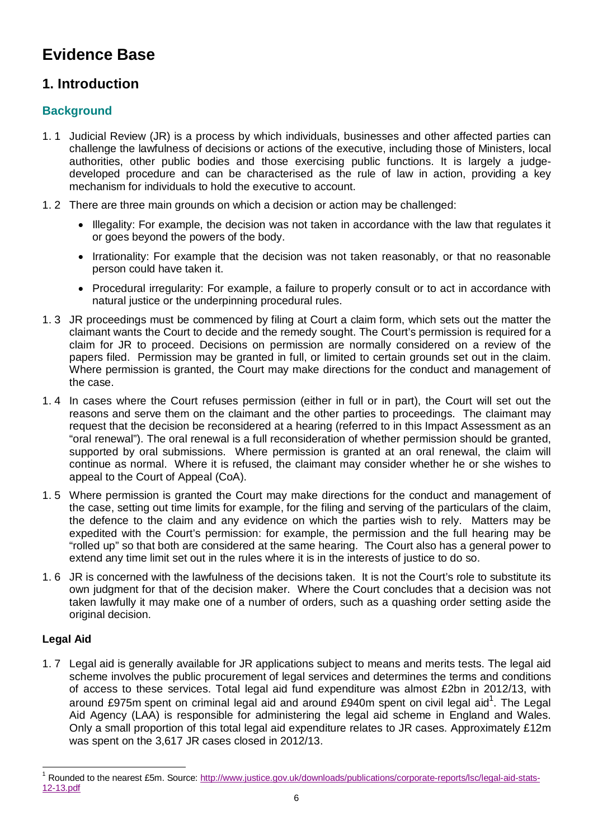# **Evidence Base**

## **1. Introduction**

## **Background**

- 1. 1 Judicial Review (JR) is a process by which individuals, businesses and other affected parties can challenge the lawfulness of decisions or actions of the executive, including those of Ministers, local authorities, other public bodies and those exercising public functions. It is largely a judgedeveloped procedure and can be characterised as the rule of law in action, providing a key mechanism for individuals to hold the executive to account.
- 1. 2 There are three main grounds on which a decision or action may be challenged:
	- Illegality: For example, the decision was not taken in accordance with the law that regulates it or goes beyond the powers of the body.
	- Irrationality: For example that the decision was not taken reasonably, or that no reasonable person could have taken it.
	- Procedural irregularity: For example, a failure to properly consult or to act in accordance with natural justice or the underpinning procedural rules.
- 1. 3 JR proceedings must be commenced by filing at Court a claim form, which sets out the matter the claimant wants the Court to decide and the remedy sought. The Court's permission is required for a claim for JR to proceed. Decisions on permission are normally considered on a review of the papers filed. Permission may be granted in full, or limited to certain grounds set out in the claim. Where permission is granted, the Court may make directions for the conduct and management of the case.
- 1. 4 In cases where the Court refuses permission (either in full or in part), the Court will set out the reasons and serve them on the claimant and the other parties to proceedings. The claimant may request that the decision be reconsidered at a hearing (referred to in this Impact Assessment as an "oral renewal"). The oral renewal is a full reconsideration of whether permission should be granted, supported by oral submissions. Where permission is granted at an oral renewal, the claim will continue as normal. Where it is refused, the claimant may consider whether he or she wishes to appeal to the Court of Appeal (CoA).
- 1. 5 Where permission is granted the Court may make directions for the conduct and management of the case, setting out time limits for example, for the filing and serving of the particulars of the claim, the defence to the claim and any evidence on which the parties wish to rely. Matters may be expedited with the Court's permission: for example, the permission and the full hearing may be "rolled up" so that both are considered at the same hearing. The Court also has a general power to extend any time limit set out in the rules where it is in the interests of justice to do so.
- 1. 6 JR is concerned with the lawfulness of the decisions taken. It is not the Court's role to substitute its own judgment for that of the decision maker. Where the Court concludes that a decision was not taken lawfully it may make one of a number of orders, such as a quashing order setting aside the original decision.

## **Legal Aid**

1. 7 Legal aid is generally available for JR applications subject to means and merits tests. The legal aid scheme involves the public procurement of legal services and determines the terms and conditions of access to these services. Total legal aid fund expenditure was almost £2bn in 2012/13, with around £975m spent on criminal legal aid and around £940m spent on civil legal aid<sup>1</sup>. The Legal Aid Agency (LAA) is responsible for administering the legal aid scheme in England and Wales. Only a small proportion of this total legal aid expenditure relates to JR cases. Approximately £12m was spent on the 3,617 JR cases closed in 2012/13.

 $\overline{\phantom{a}}$ <sup>1</sup> Rounded to the nearest £5m. Source: http://www.justice.gov.uk/downloads/publications/corporate-reports/lsc/legal-aid-stats-12-13.pdf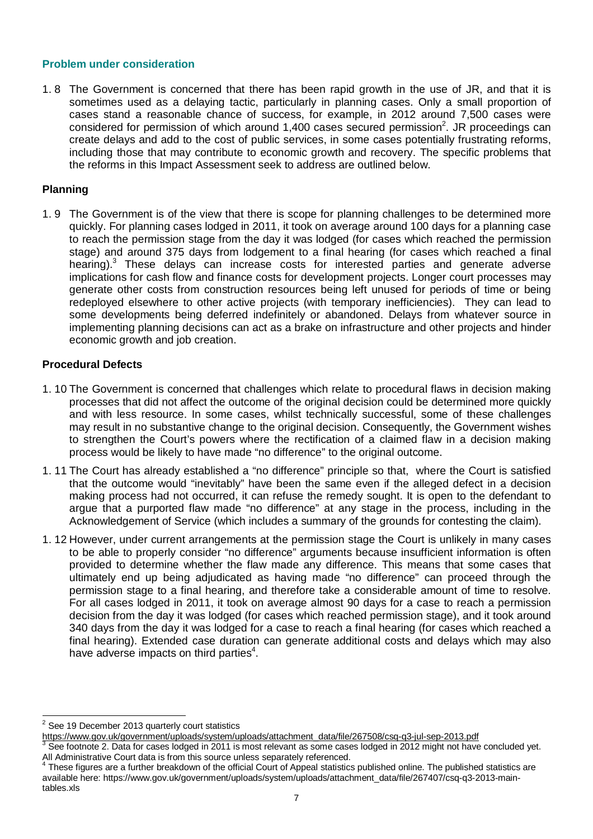### **Problem under consideration**

1. 8 The Government is concerned that there has been rapid growth in the use of JR, and that it is sometimes used as a delaying tactic, particularly in planning cases. Only a small proportion of cases stand a reasonable chance of success, for example, in 2012 around 7,500 cases were considered for permission of which around 1,400 cases secured permission<sup>2</sup>. JR proceedings can create delays and add to the cost of public services, in some cases potentially frustrating reforms, including those that may contribute to economic growth and recovery. The specific problems that the reforms in this Impact Assessment seek to address are outlined below.

## **Planning**

1. 9 The Government is of the view that there is scope for planning challenges to be determined more quickly. For planning cases lodged in 2011, it took on average around 100 days for a planning case to reach the permission stage from the day it was lodged (for cases which reached the permission stage) and around 375 days from lodgement to a final hearing (for cases which reached a final hearing).<sup>3</sup> These delays can increase costs for interested parties and generate adverse implications for cash flow and finance costs for development projects. Longer court processes may generate other costs from construction resources being left unused for periods of time or being redeployed elsewhere to other active projects (with temporary inefficiencies). They can lead to some developments being deferred indefinitely or abandoned. Delays from whatever source in implementing planning decisions can act as a brake on infrastructure and other projects and hinder economic growth and job creation.

## **Procedural Defects**

- 1. 10 The Government is concerned that challenges which relate to procedural flaws in decision making processes that did not affect the outcome of the original decision could be determined more quickly and with less resource. In some cases, whilst technically successful, some of these challenges may result in no substantive change to the original decision. Consequently, the Government wishes to strengthen the Court's powers where the rectification of a claimed flaw in a decision making process would be likely to have made "no difference" to the original outcome.
- 1. 11 The Court has already established a "no difference" principle so that, where the Court is satisfied that the outcome would "inevitably" have been the same even if the alleged defect in a decision making process had not occurred, it can refuse the remedy sought. It is open to the defendant to argue that a purported flaw made "no difference" at any stage in the process, including in the Acknowledgement of Service (which includes a summary of the grounds for contesting the claim).
- 1. 12 However, under current arrangements at the permission stage the Court is unlikely in many cases to be able to properly consider "no difference" arguments because insufficient information is often provided to determine whether the flaw made any difference. This means that some cases that ultimately end up being adjudicated as having made "no difference" can proceed through the permission stage to a final hearing, and therefore take a considerable amount of time to resolve. For all cases lodged in 2011, it took on average almost 90 days for a case to reach a permission decision from the day it was lodged (for cases which reached permission stage), and it took around 340 days from the day it was lodged for a case to reach a final hearing (for cases which reached a final hearing). Extended case duration can generate additional costs and delays which may also have adverse impacts on third parties<sup>4</sup>.

<sup>&</sup>lt;u>2</u><br><sup>2</sup> See 19 December 2013 quarterly court statistics

https://www.gov.uk/government/uploads/system/uploads/attachment\_data/file/267508/csq-q3-jul-sep-2013.pdf<br>3 See fectpate 2. Dete for eases ladged in 2011 is meet relevant as seme eases ladged in 2012 might not beve

See footnote 2. Data for cases lodged in 2011 is most relevant as some cases lodged in 2012 might not have concluded yet. All Administrative Court data is from this source unless separately referenced.<br><sup>4</sup> These figures are a further breakdown of the efficial Court of Anneal statistic

These figures are a further breakdown of the official Court of Appeal statistics published online. The published statistics are available here: https://www.gov.uk/government/uploads/system/uploads/attachment\_data/file/267407/csq-q3-2013-maintables.xls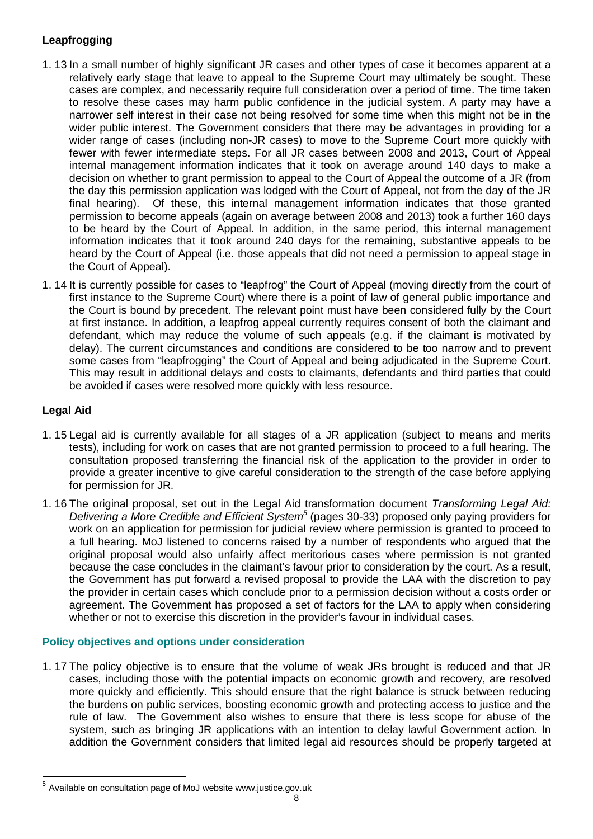## **Leapfrogging**

- 1. 13 In a small number of highly significant JR cases and other types of case it becomes apparent at a relatively early stage that leave to appeal to the Supreme Court may ultimately be sought. These cases are complex, and necessarily require full consideration over a period of time. The time taken to resolve these cases may harm public confidence in the judicial system. A party may have a narrower self interest in their case not being resolved for some time when this might not be in the wider public interest. The Government considers that there may be advantages in providing for a wider range of cases (including non-JR cases) to move to the Supreme Court more quickly with fewer with fewer intermediate steps. For all JR cases between 2008 and 2013, Court of Appeal internal management information indicates that it took on average around 140 days to make a decision on whether to grant permission to appeal to the Court of Appeal the outcome of a JR (from the day this permission application was lodged with the Court of Appeal, not from the day of the JR final hearing). Of these, this internal management information indicates that those granted permission to become appeals (again on average between 2008 and 2013) took a further 160 days to be heard by the Court of Appeal. In addition, in the same period, this internal management information indicates that it took around 240 days for the remaining, substantive appeals to be heard by the Court of Appeal (i.e. those appeals that did not need a permission to appeal stage in the Court of Appeal).
- 1. 14 It is currently possible for cases to "leapfrog" the Court of Appeal (moving directly from the court of first instance to the Supreme Court) where there is a point of law of general public importance and the Court is bound by precedent. The relevant point must have been considered fully by the Court at first instance. In addition, a leapfrog appeal currently requires consent of both the claimant and defendant, which may reduce the volume of such appeals (e.g. if the claimant is motivated by delay). The current circumstances and conditions are considered to be too narrow and to prevent some cases from "leapfrogging" the Court of Appeal and being adjudicated in the Supreme Court. This may result in additional delays and costs to claimants, defendants and third parties that could be avoided if cases were resolved more quickly with less resource.

## **Legal Aid**

- 1. 15 Legal aid is currently available for all stages of a JR application (subject to means and merits tests), including for work on cases that are not granted permission to proceed to a full hearing. The consultation proposed transferring the financial risk of the application to the provider in order to provide a greater incentive to give careful consideration to the strength of the case before applying for permission for JR.
- 1. 16 The original proposal, set out in the Legal Aid transformation document *Transforming Legal Aid: Delivering a More Credible and Efficient System<sup>5</sup>* (pages 30-33) proposed only paying providers for work on an application for permission for judicial review where permission is granted to proceed to a full hearing. MoJ listened to concerns raised by a number of respondents who argued that the original proposal would also unfairly affect meritorious cases where permission is not granted because the case concludes in the claimant's favour prior to consideration by the court. As a result, the Government has put forward a revised proposal to provide the LAA with the discretion to pay the provider in certain cases which conclude prior to a permission decision without a costs order or agreement. The Government has proposed a set of factors for the LAA to apply when considering whether or not to exercise this discretion in the provider's favour in individual cases.

## **Policy objectives and options under consideration**

1. 17 The policy objective is to ensure that the volume of weak JRs brought is reduced and that JR cases, including those with the potential impacts on economic growth and recovery, are resolved more quickly and efficiently. This should ensure that the right balance is struck between reducing the burdens on public services, boosting economic growth and protecting access to justice and the rule of law. The Government also wishes to ensure that there is less scope for abuse of the system, such as bringing JR applications with an intention to delay lawful Government action. In addition the Government considers that limited legal aid resources should be properly targeted at

 5 Available on consultation page of MoJ website www.justice.gov.uk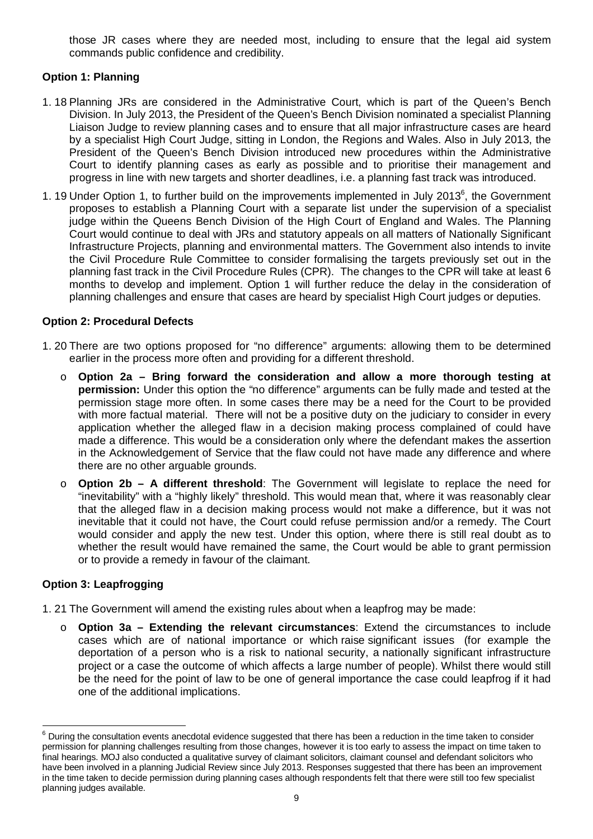those JR cases where they are needed most, including to ensure that the legal aid system commands public confidence and credibility.

## **Option 1: Planning**

- 1. 18 Planning JRs are considered in the Administrative Court, which is part of the Queen's Bench Division. In July 2013, the President of the Queen's Bench Division nominated a specialist Planning Liaison Judge to review planning cases and to ensure that all major infrastructure cases are heard by a specialist High Court Judge, sitting in London, the Regions and Wales. Also in July 2013, the President of the Queen's Bench Division introduced new procedures within the Administrative Court to identify planning cases as early as possible and to prioritise their management and progress in line with new targets and shorter deadlines, i.e. a planning fast track was introduced.
- 1. 19 Under Option 1, to further build on the improvements implemented in July 2013<sup>6</sup>, the Government proposes to establish a Planning Court with a separate list under the supervision of a specialist judge within the Queens Bench Division of the High Court of England and Wales. The Planning Court would continue to deal with JRs and statutory appeals on all matters of Nationally Significant Infrastructure Projects, planning and environmental matters. The Government also intends to invite the Civil Procedure Rule Committee to consider formalising the targets previously set out in the planning fast track in the Civil Procedure Rules (CPR). The changes to the CPR will take at least 6 months to develop and implement. Option 1 will further reduce the delay in the consideration of planning challenges and ensure that cases are heard by specialist High Court judges or deputies.

## **Option 2: Procedural Defects**

- 1. 20 There are two options proposed for "no difference" arguments: allowing them to be determined earlier in the process more often and providing for a different threshold.
	- o **Option 2a – Bring forward the consideration and allow a more thorough testing at permission:** Under this option the "no difference" arguments can be fully made and tested at the permission stage more often. In some cases there may be a need for the Court to be provided with more factual material. There will not be a positive duty on the judiciary to consider in every application whether the alleged flaw in a decision making process complained of could have made a difference. This would be a consideration only where the defendant makes the assertion in the Acknowledgement of Service that the flaw could not have made any difference and where there are no other arguable grounds.
	- o **Option 2b A different threshold**: The Government will legislate to replace the need for "inevitability" with a "highly likely" threshold. This would mean that, where it was reasonably clear that the alleged flaw in a decision making process would not make a difference, but it was not inevitable that it could not have, the Court could refuse permission and/or a remedy. The Court would consider and apply the new test. Under this option, where there is still real doubt as to whether the result would have remained the same, the Court would be able to grant permission or to provide a remedy in favour of the claimant.

## **Option 3: Leapfrogging**

- 1. 21 The Government will amend the existing rules about when a leapfrog may be made:
	- o **Option 3a Extending the relevant circumstances**: Extend the circumstances to include cases which are of national importance or which raise significant issues (for example the deportation of a person who is a risk to national security, a nationally significant infrastructure project or a case the outcome of which affects a large number of people). Whilst there would still be the need for the point of law to be one of general importance the case could leapfrog if it had one of the additional implications.

 6 During the consultation events anecdotal evidence suggested that there has been a reduction in the time taken to consider permission for planning challenges resulting from those changes, however it is too early to assess the impact on time taken to final hearings. MOJ also conducted a qualitative survey of claimant solicitors, claimant counsel and defendant solicitors who have been involved in a planning Judicial Review since July 2013. Responses suggested that there has been an improvement in the time taken to decide permission during planning cases although respondents felt that there were still too few specialist planning judges available.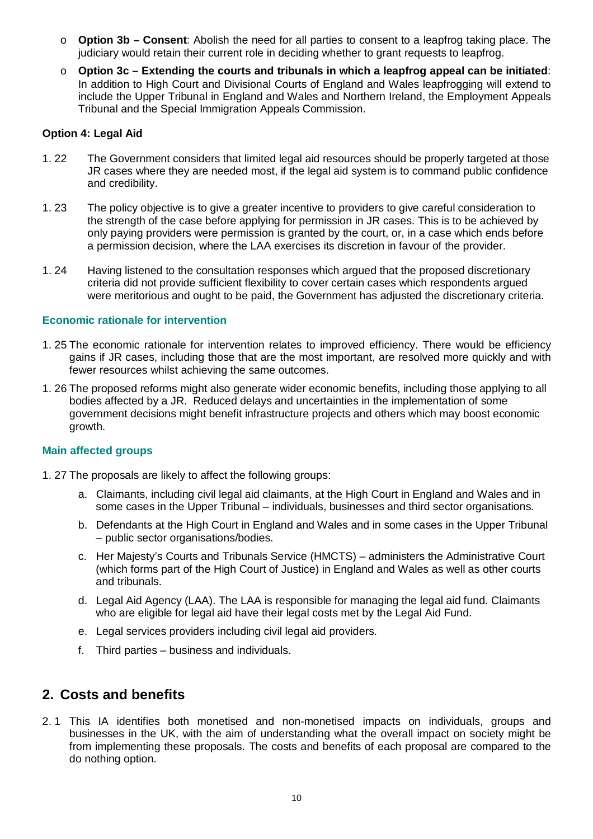- o **Option 3b Consent**: Abolish the need for all parties to consent to a leapfrog taking place. The judiciary would retain their current role in deciding whether to grant requests to leapfrog.
- o **Option 3c Extending the courts and tribunals in which a leapfrog appeal can be initiated**: In addition to High Court and Divisional Courts of England and Wales leapfrogging will extend to include the Upper Tribunal in England and Wales and Northern Ireland, the Employment Appeals Tribunal and the Special Immigration Appeals Commission.

## **Option 4: Legal Aid**

- 1. 22 The Government considers that limited legal aid resources should be properly targeted at those JR cases where they are needed most, if the legal aid system is to command public confidence and credibility.
- 1. 23 The policy objective is to give a greater incentive to providers to give careful consideration to the strength of the case before applying for permission in JR cases. This is to be achieved by only paying providers were permission is granted by the court, or, in a case which ends before a permission decision, where the LAA exercises its discretion in favour of the provider.
- 1. 24 Having listened to the consultation responses which argued that the proposed discretionary criteria did not provide sufficient flexibility to cover certain cases which respondents argued were meritorious and ought to be paid, the Government has adjusted the discretionary criteria.

## **Economic rationale for intervention**

- 1. 25 The economic rationale for intervention relates to improved efficiency. There would be efficiency gains if JR cases, including those that are the most important, are resolved more quickly and with fewer resources whilst achieving the same outcomes.
- 1. 26 The proposed reforms might also generate wider economic benefits, including those applying to all bodies affected by a JR. Reduced delays and uncertainties in the implementation of some government decisions might benefit infrastructure projects and others which may boost economic growth.

## **Main affected groups**

- 1. 27 The proposals are likely to affect the following groups:
	- a. Claimants, including civil legal aid claimants, at the High Court in England and Wales and in some cases in the Upper Tribunal – individuals, businesses and third sector organisations.
	- b. Defendants at the High Court in England and Wales and in some cases in the Upper Tribunal – public sector organisations/bodies.
	- c. Her Majesty's Courts and Tribunals Service (HMCTS) administers the Administrative Court (which forms part of the High Court of Justice) in England and Wales as well as other courts and tribunals.
	- d. Legal Aid Agency (LAA). The LAA is responsible for managing the legal aid fund. Claimants who are eligible for legal aid have their legal costs met by the Legal Aid Fund.
	- e. Legal services providers including civil legal aid providers.
	- f. Third parties business and individuals.

## **2. Costs and benefits**

2. 1 This IA identifies both monetised and non-monetised impacts on individuals, groups and businesses in the UK, with the aim of understanding what the overall impact on society might be from implementing these proposals. The costs and benefits of each proposal are compared to the do nothing option.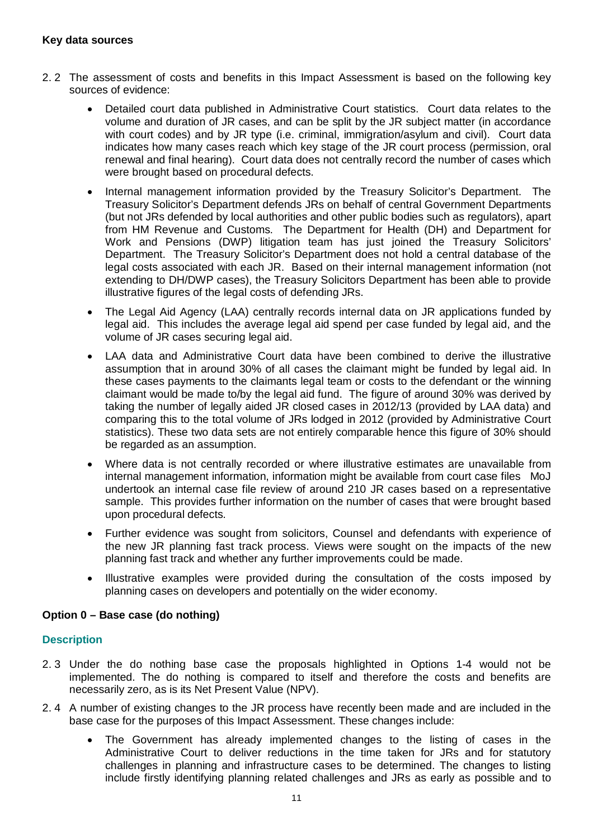- 2. 2 The assessment of costs and benefits in this Impact Assessment is based on the following key sources of evidence:
	- Detailed court data published in Administrative Court statistics. Court data relates to the volume and duration of JR cases, and can be split by the JR subject matter (in accordance with court codes) and by JR type (i.e. criminal, immigration/asylum and civil). Court data indicates how many cases reach which key stage of the JR court process (permission, oral renewal and final hearing). Court data does not centrally record the number of cases which were brought based on procedural defects.
	- Internal management information provided by the Treasury Solicitor's Department. The Treasury Solicitor's Department defends JRs on behalf of central Government Departments (but not JRs defended by local authorities and other public bodies such as regulators), apart from HM Revenue and Customs. The Department for Health (DH) and Department for Work and Pensions (DWP) litigation team has just joined the Treasury Solicitors' Department. The Treasury Solicitor's Department does not hold a central database of the legal costs associated with each JR. Based on their internal management information (not extending to DH/DWP cases), the Treasury Solicitors Department has been able to provide illustrative figures of the legal costs of defending JRs.
	- The Legal Aid Agency (LAA) centrally records internal data on JR applications funded by legal aid. This includes the average legal aid spend per case funded by legal aid, and the volume of JR cases securing legal aid.
	- LAA data and Administrative Court data have been combined to derive the illustrative assumption that in around 30% of all cases the claimant might be funded by legal aid. In these cases payments to the claimants legal team or costs to the defendant or the winning claimant would be made to/by the legal aid fund. The figure of around 30% was derived by taking the number of legally aided JR closed cases in 2012/13 (provided by LAA data) and comparing this to the total volume of JRs lodged in 2012 (provided by Administrative Court statistics). These two data sets are not entirely comparable hence this figure of 30% should be regarded as an assumption.
	- Where data is not centrally recorded or where illustrative estimates are unavailable from internal management information, information might be available from court case files MoJ undertook an internal case file review of around 210 JR cases based on a representative sample. This provides further information on the number of cases that were brought based upon procedural defects.
	- Further evidence was sought from solicitors, Counsel and defendants with experience of the new JR planning fast track process. Views were sought on the impacts of the new planning fast track and whether any further improvements could be made.
	- Illustrative examples were provided during the consultation of the costs imposed by planning cases on developers and potentially on the wider economy.

## **Option 0 – Base case (do nothing)**

## **Description**

- 2. 3 Under the do nothing base case the proposals highlighted in Options 1-4 would not be implemented. The do nothing is compared to itself and therefore the costs and benefits are necessarily zero, as is its Net Present Value (NPV).
- 2. 4 A number of existing changes to the JR process have recently been made and are included in the base case for the purposes of this Impact Assessment. These changes include:
	- The Government has already implemented changes to the listing of cases in the Administrative Court to deliver reductions in the time taken for JRs and for statutory challenges in planning and infrastructure cases to be determined. The changes to listing include firstly identifying planning related challenges and JRs as early as possible and to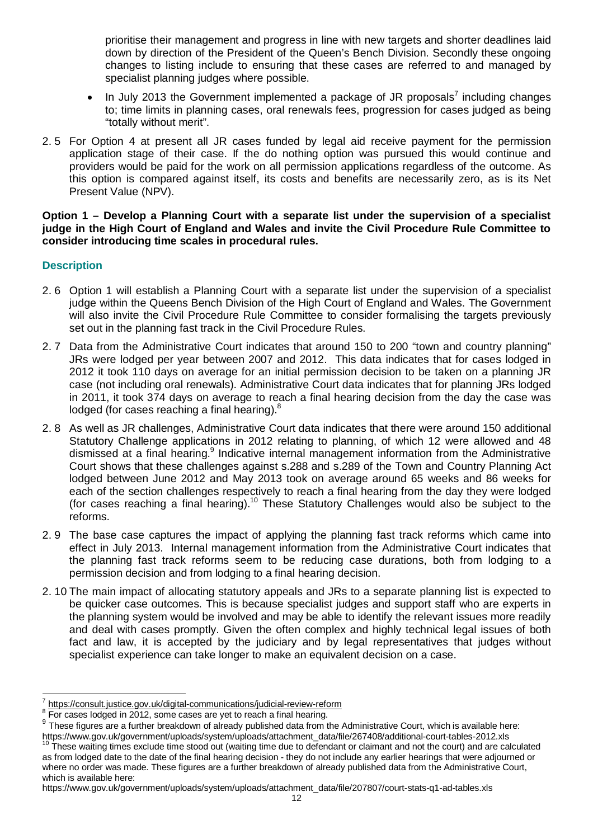prioritise their management and progress in line with new targets and shorter deadlines laid down by direction of the President of the Queen's Bench Division. Secondly these ongoing changes to listing include to ensuring that these cases are referred to and managed by specialist planning judges where possible.

- $\bullet$  In July 2013 the Government implemented a package of JR proposals<sup>7</sup> including changes to; time limits in planning cases, oral renewals fees, progression for cases judged as being "totally without merit".
- 2. 5 For Option 4 at present all JR cases funded by legal aid receive payment for the permission application stage of their case. If the do nothing option was pursued this would continue and providers would be paid for the work on all permission applications regardless of the outcome. As this option is compared against itself, its costs and benefits are necessarily zero, as is its Net Present Value (NPV).

**Option 1 – Develop a Planning Court with a separate list under the supervision of a specialist judge in the High Court of England and Wales and invite the Civil Procedure Rule Committee to consider introducing time scales in procedural rules.**

## **Description**

- 2. 6 Option 1 will establish a Planning Court with a separate list under the supervision of a specialist judge within the Queens Bench Division of the High Court of England and Wales. The Government will also invite the Civil Procedure Rule Committee to consider formalising the targets previously set out in the planning fast track in the Civil Procedure Rules.
- 2. 7 Data from the Administrative Court indicates that around 150 to 200 "town and country planning" JRs were lodged per year between 2007 and 2012. This data indicates that for cases lodged in 2012 it took 110 days on average for an initial permission decision to be taken on a planning JR case (not including oral renewals). Administrative Court data indicates that for planning JRs lodged in 2011, it took 374 days on average to reach a final hearing decision from the day the case was lodged (for cases reaching a final hearing).<sup>8</sup>
- 2. 8 As well as JR challenges, Administrative Court data indicates that there were around 150 additional Statutory Challenge applications in 2012 relating to planning, of which 12 were allowed and 48 dismissed at a final hearing.<sup>9</sup> Indicative internal management information from the Administrative Court shows that these challenges against s.288 and s.289 of the Town and Country Planning Act lodged between June 2012 and May 2013 took on average around 65 weeks and 86 weeks for each of the section challenges respectively to reach a final hearing from the day they were lodged (for cases reaching a final hearing).<sup>10</sup> These Statutory Challenges would also be subject to the reforms.
- 2. 9 The base case captures the impact of applying the planning fast track reforms which came into effect in July 2013. Internal management information from the Administrative Court indicates that the planning fast track reforms seem to be reducing case durations, both from lodging to a permission decision and from lodging to a final hearing decision.
- 2. 10 The main impact of allocating statutory appeals and JRs to a separate planning list is expected to be quicker case outcomes. This is because specialist judges and support staff who are experts in the planning system would be involved and may be able to identify the relevant issues more readily and deal with cases promptly. Given the often complex and highly technical legal issues of both fact and law, it is accepted by the judiciary and by legal representatives that judges without specialist experience can take longer to make an equivalent decision on a case.

 $\overline{a}$ 7 https://consult.justice.gov.uk/digital-communications/judicial-review-reform

 $8$  For cases lodged in 2012, some cases are yet to reach a final hearing.

<sup>&</sup>lt;sup>9</sup> These figures are a further breakdown of already published data from the Administrative Court, which is available here: https://www.gov.uk/government/uploads/system/uploads/attachment\_data/file/267408/additional-court-tables-2012.xls

<sup>&</sup>lt;sup>10</sup> These waiting times exclude time stood out (waiting time due to defendant or claimant and not the court) and are calculated as from lodged date to the date of the final hearing decision - they do not include any earlier hearings that were adjourned or where no order was made. These figures are a further breakdown of already published data from the Administrative Court, which is available here:

https://www.gov.uk/government/uploads/system/uploads/attachment\_data/file/207807/court-stats-q1-ad-tables.xls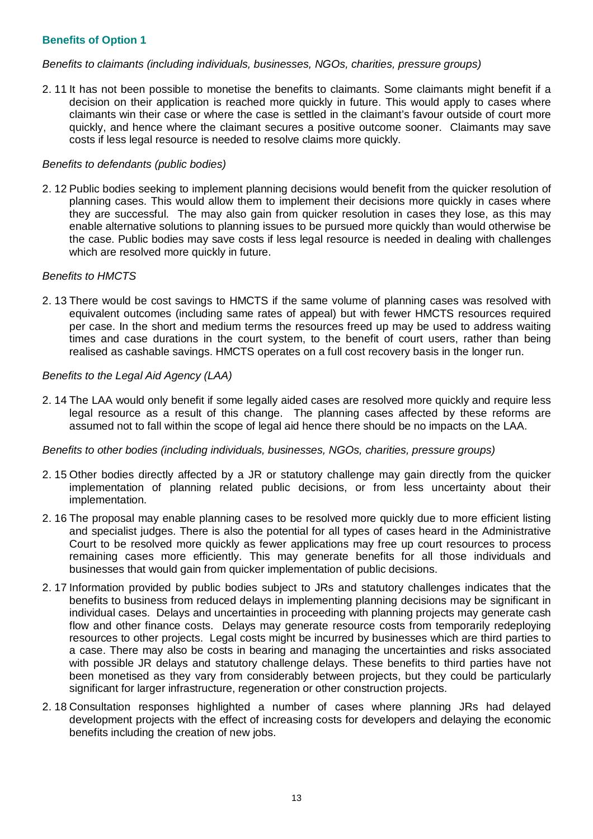## **Benefits of Option 1**

#### *Benefits to claimants (including individuals, businesses, NGOs, charities, pressure groups)*

2. 11 It has not been possible to monetise the benefits to claimants. Some claimants might benefit if a decision on their application is reached more quickly in future. This would apply to cases where claimants win their case or where the case is settled in the claimant's favour outside of court more quickly, and hence where the claimant secures a positive outcome sooner. Claimants may save costs if less legal resource is needed to resolve claims more quickly.

#### *Benefits to defendants (public bodies)*

2. 12 Public bodies seeking to implement planning decisions would benefit from the quicker resolution of planning cases. This would allow them to implement their decisions more quickly in cases where they are successful. The may also gain from quicker resolution in cases they lose, as this may enable alternative solutions to planning issues to be pursued more quickly than would otherwise be the case. Public bodies may save costs if less legal resource is needed in dealing with challenges which are resolved more quickly in future.

#### *Benefits to HMCTS*

2. 13 There would be cost savings to HMCTS if the same volume of planning cases was resolved with equivalent outcomes (including same rates of appeal) but with fewer HMCTS resources required per case. In the short and medium terms the resources freed up may be used to address waiting times and case durations in the court system, to the benefit of court users, rather than being realised as cashable savings. HMCTS operates on a full cost recovery basis in the longer run.

### *Benefits to the Legal Aid Agency (LAA)*

2. 14 The LAA would only benefit if some legally aided cases are resolved more quickly and require less legal resource as a result of this change. The planning cases affected by these reforms are assumed not to fall within the scope of legal aid hence there should be no impacts on the LAA.

## *Benefits to other bodies (including individuals, businesses, NGOs, charities, pressure groups)*

- 2. 15 Other bodies directly affected by a JR or statutory challenge may gain directly from the quicker implementation of planning related public decisions, or from less uncertainty about their implementation.
- 2. 16 The proposal may enable planning cases to be resolved more quickly due to more efficient listing and specialist judges. There is also the potential for all types of cases heard in the Administrative Court to be resolved more quickly as fewer applications may free up court resources to process remaining cases more efficiently. This may generate benefits for all those individuals and businesses that would gain from quicker implementation of public decisions.
- 2. 17 Information provided by public bodies subject to JRs and statutory challenges indicates that the benefits to business from reduced delays in implementing planning decisions may be significant in individual cases. Delays and uncertainties in proceeding with planning projects may generate cash flow and other finance costs. Delays may generate resource costs from temporarily redeploying resources to other projects. Legal costs might be incurred by businesses which are third parties to a case. There may also be costs in bearing and managing the uncertainties and risks associated with possible JR delays and statutory challenge delays. These benefits to third parties have not been monetised as they vary from considerably between projects, but they could be particularly significant for larger infrastructure, regeneration or other construction projects.
- 2. 18 Consultation responses highlighted a number of cases where planning JRs had delayed development projects with the effect of increasing costs for developers and delaying the economic benefits including the creation of new jobs.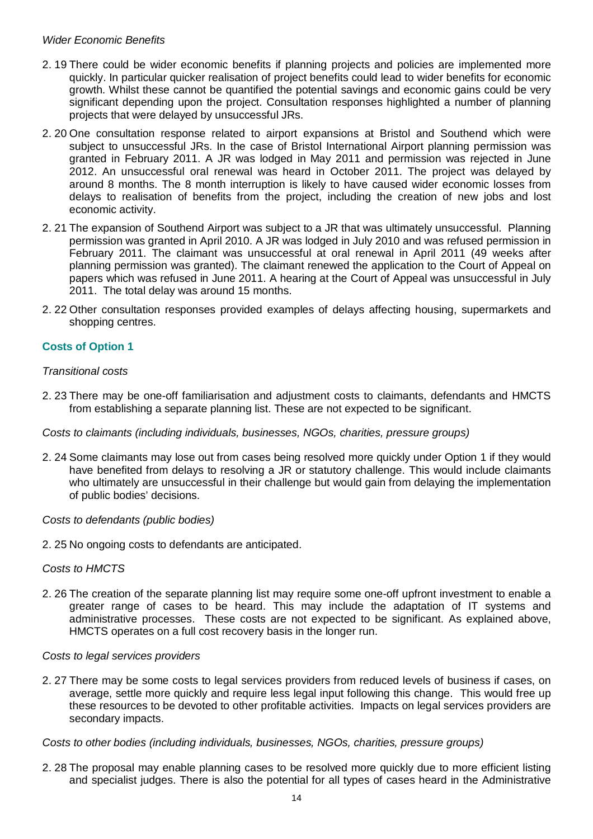## *Wider Economic Benefits*

- 2. 19 There could be wider economic benefits if planning projects and policies are implemented more quickly. In particular quicker realisation of project benefits could lead to wider benefits for economic growth. Whilst these cannot be quantified the potential savings and economic gains could be very significant depending upon the project. Consultation responses highlighted a number of planning projects that were delayed by unsuccessful JRs.
- 2. 20 One consultation response related to airport expansions at Bristol and Southend which were subject to unsuccessful JRs. In the case of Bristol International Airport planning permission was granted in February 2011. A JR was lodged in May 2011 and permission was rejected in June 2012. An unsuccessful oral renewal was heard in October 2011. The project was delayed by around 8 months. The 8 month interruption is likely to have caused wider economic losses from delays to realisation of benefits from the project, including the creation of new jobs and lost economic activity.
- 2. 21 The expansion of Southend Airport was subject to a JR that was ultimately unsuccessful. Planning permission was granted in April 2010. A JR was lodged in July 2010 and was refused permission in February 2011. The claimant was unsuccessful at oral renewal in April 2011 (49 weeks after planning permission was granted). The claimant renewed the application to the Court of Appeal on papers which was refused in June 2011. A hearing at the Court of Appeal was unsuccessful in July 2011. The total delay was around 15 months.
- 2. 22 Other consultation responses provided examples of delays affecting housing, supermarkets and shopping centres.

## **Costs of Option 1**

#### *Transitional costs*

2. 23 There may be one-off familiarisation and adjustment costs to claimants, defendants and HMCTS from establishing a separate planning list. These are not expected to be significant.

#### *Costs to claimants (including individuals, businesses, NGOs, charities, pressure groups)*

2. 24 Some claimants may lose out from cases being resolved more quickly under Option 1 if they would have benefited from delays to resolving a JR or statutory challenge. This would include claimants who ultimately are unsuccessful in their challenge but would gain from delaying the implementation of public bodies' decisions.

#### *Costs to defendants (public bodies)*

2. 25 No ongoing costs to defendants are anticipated.

#### *Costs to HMCTS*

2. 26 The creation of the separate planning list may require some one-off upfront investment to enable a greater range of cases to be heard. This may include the adaptation of IT systems and administrative processes. These costs are not expected to be significant. As explained above, HMCTS operates on a full cost recovery basis in the longer run.

#### *Costs to legal services providers*

2. 27 There may be some costs to legal services providers from reduced levels of business if cases, on average, settle more quickly and require less legal input following this change. This would free up these resources to be devoted to other profitable activities. Impacts on legal services providers are secondary impacts.

#### *Costs to other bodies (including individuals, businesses, NGOs, charities, pressure groups)*

2. 28 The proposal may enable planning cases to be resolved more quickly due to more efficient listing and specialist judges. There is also the potential for all types of cases heard in the Administrative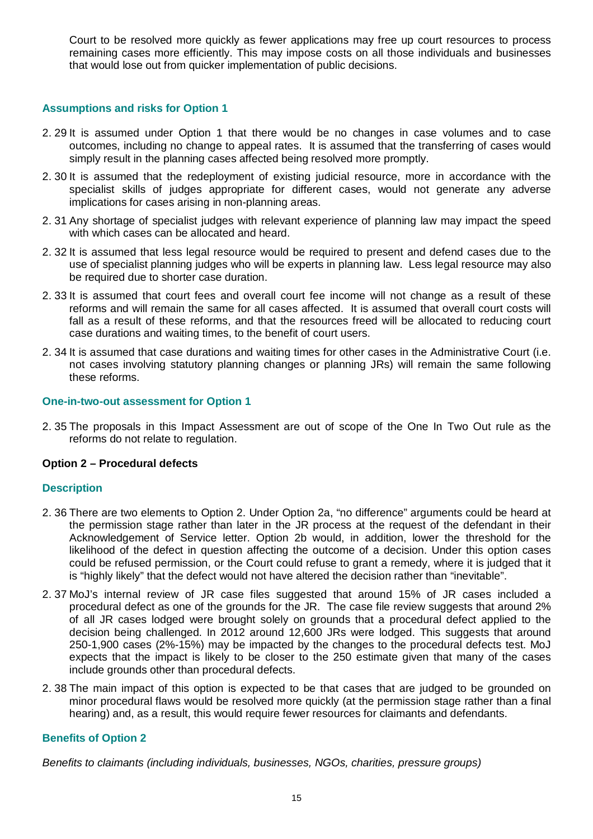Court to be resolved more quickly as fewer applications may free up court resources to process remaining cases more efficiently. This may impose costs on all those individuals and businesses that would lose out from quicker implementation of public decisions.

## **Assumptions and risks for Option 1**

- 2. 29 It is assumed under Option 1 that there would be no changes in case volumes and to case outcomes, including no change to appeal rates. It is assumed that the transferring of cases would simply result in the planning cases affected being resolved more promptly.
- 2. 30 It is assumed that the redeployment of existing judicial resource, more in accordance with the specialist skills of judges appropriate for different cases, would not generate any adverse implications for cases arising in non-planning areas.
- 2. 31 Any shortage of specialist judges with relevant experience of planning law may impact the speed with which cases can be allocated and heard.
- 2. 32 It is assumed that less legal resource would be required to present and defend cases due to the use of specialist planning judges who will be experts in planning law. Less legal resource may also be required due to shorter case duration.
- 2. 33 It is assumed that court fees and overall court fee income will not change as a result of these reforms and will remain the same for all cases affected. It is assumed that overall court costs will fall as a result of these reforms, and that the resources freed will be allocated to reducing court case durations and waiting times, to the benefit of court users.
- 2. 34 It is assumed that case durations and waiting times for other cases in the Administrative Court (i.e. not cases involving statutory planning changes or planning JRs) will remain the same following these reforms.

#### **One-in-two-out assessment for Option 1**

2. 35 The proposals in this Impact Assessment are out of scope of the One In Two Out rule as the reforms do not relate to regulation.

## **Option 2 – Procedural defects**

## **Description**

- 2. 36 There are two elements to Option 2. Under Option 2a, "no difference" arguments could be heard at the permission stage rather than later in the JR process at the request of the defendant in their Acknowledgement of Service letter. Option 2b would, in addition, lower the threshold for the likelihood of the defect in question affecting the outcome of a decision. Under this option cases could be refused permission, or the Court could refuse to grant a remedy, where it is judged that it is "highly likely" that the defect would not have altered the decision rather than "inevitable".
- 2. 37 MoJ's internal review of JR case files suggested that around 15% of JR cases included a procedural defect as one of the grounds for the JR. The case file review suggests that around 2% of all JR cases lodged were brought solely on grounds that a procedural defect applied to the decision being challenged. In 2012 around 12,600 JRs were lodged. This suggests that around 250-1,900 cases (2%-15%) may be impacted by the changes to the procedural defects test. MoJ expects that the impact is likely to be closer to the 250 estimate given that many of the cases include grounds other than procedural defects.
- 2. 38 The main impact of this option is expected to be that cases that are judged to be grounded on minor procedural flaws would be resolved more quickly (at the permission stage rather than a final hearing) and, as a result, this would require fewer resources for claimants and defendants.

## **Benefits of Option 2**

*Benefits to claimants (including individuals, businesses, NGOs, charities, pressure groups)*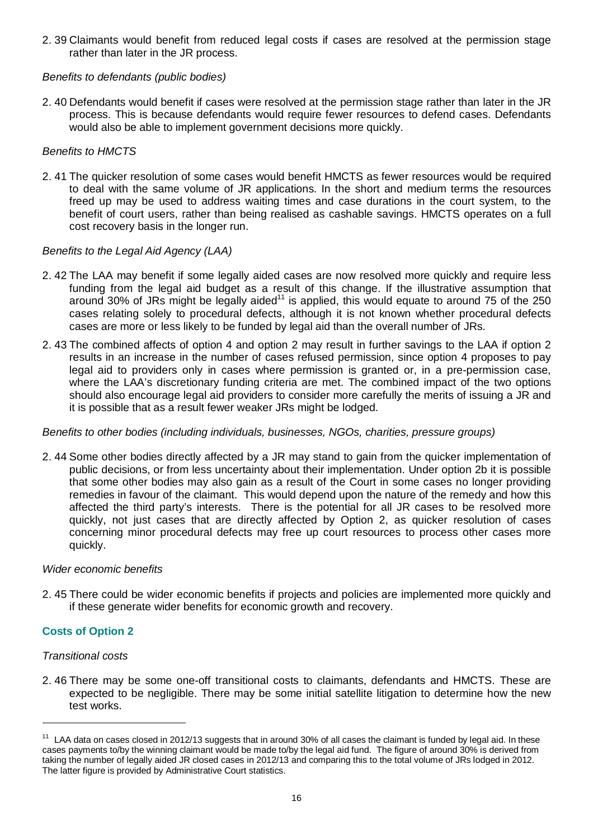2. 39 Claimants would benefit from reduced legal costs if cases are resolved at the permission stage rather than later in the JR process.

## *Benefits to defendants (public bodies)*

2. 40 Defendants would benefit if cases were resolved at the permission stage rather than later in the JR process. This is because defendants would require fewer resources to defend cases. Defendants would also be able to implement government decisions more quickly.

#### *Benefits to HMCTS*

2. 41 The quicker resolution of some cases would benefit HMCTS as fewer resources would be required to deal with the same volume of JR applications. In the short and medium terms the resources freed up may be used to address waiting times and case durations in the court system, to the benefit of court users, rather than being realised as cashable savings. HMCTS operates on a full cost recovery basis in the longer run.

#### *Benefits to the Legal Aid Agency (LAA)*

- 2. 42 The LAA may benefit if some legally aided cases are now resolved more quickly and require less funding from the legal aid budget as a result of this change. If the illustrative assumption that around 30% of JRs might be legally aided<sup>11</sup> is applied, this would equate to around 75 of the 250 cases relating solely to procedural defects, although it is not known whether procedural defects cases are more or less likely to be funded by legal aid than the overall number of JRs.
- 2. 43 The combined affects of option 4 and option 2 may result in further savings to the LAA if option 2 results in an increase in the number of cases refused permission, since option 4 proposes to pay legal aid to providers only in cases where permission is granted or, in a pre-permission case, where the LAA's discretionary funding criteria are met. The combined impact of the two options should also encourage legal aid providers to consider more carefully the merits of issuing a JR and it is possible that as a result fewer weaker JRs might be lodged.

#### *Benefits to other bodies (including individuals, businesses, NGOs, charities, pressure groups)*

2. 44 Some other bodies directly affected by a JR may stand to gain from the quicker implementation of public decisions, or from less uncertainty about their implementation. Under option 2b it is possible that some other bodies may also gain as a result of the Court in some cases no longer providing remedies in favour of the claimant. This would depend upon the nature of the remedy and how this affected the third party's interests. There is the potential for all JR cases to be resolved more quickly, not just cases that are directly affected by Option 2, as quicker resolution of cases concerning minor procedural defects may free up court resources to process other cases more quickly.

#### *Wider economic benefits*

2. 45 There could be wider economic benefits if projects and policies are implemented more quickly and if these generate wider benefits for economic growth and recovery.

## **Costs of Option 2**

#### *Transitional costs*

 $\overline{a}$ 

2. 46 There may be some one-off transitional costs to claimants, defendants and HMCTS. These are expected to be negligible. There may be some initial satellite litigation to determine how the new test works.

<sup>&</sup>lt;sup>11</sup> LAA data on cases closed in 2012/13 suggests that in around 30% of all cases the claimant is funded by legal aid. In these cases payments to/by the winning claimant would be made to/by the legal aid fund. The figure of around 30% is derived from taking the number of legally aided JR closed cases in 2012/13 and comparing this to the total volume of JRs lodged in 2012. The latter figure is provided by Administrative Court statistics.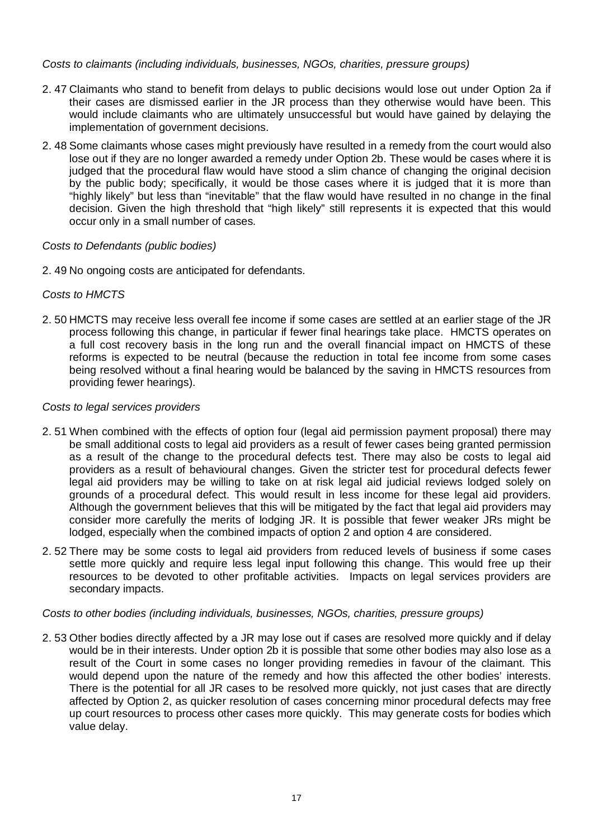## *Costs to claimants (including individuals, businesses, NGOs, charities, pressure groups)*

- 2. 47 Claimants who stand to benefit from delays to public decisions would lose out under Option 2a if their cases are dismissed earlier in the JR process than they otherwise would have been. This would include claimants who are ultimately unsuccessful but would have gained by delaying the implementation of government decisions.
- 2. 48 Some claimants whose cases might previously have resulted in a remedy from the court would also lose out if they are no longer awarded a remedy under Option 2b. These would be cases where it is judged that the procedural flaw would have stood a slim chance of changing the original decision by the public body; specifically, it would be those cases where it is judged that it is more than "highly likely" but less than "inevitable" that the flaw would have resulted in no change in the final decision. Given the high threshold that "high likely" still represents it is expected that this would occur only in a small number of cases.

## *Costs to Defendants (public bodies)*

2. 49 No ongoing costs are anticipated for defendants.

## *Costs to HMCTS*

2. 50 HMCTS may receive less overall fee income if some cases are settled at an earlier stage of the JR process following this change, in particular if fewer final hearings take place. HMCTS operates on a full cost recovery basis in the long run and the overall financial impact on HMCTS of these reforms is expected to be neutral (because the reduction in total fee income from some cases being resolved without a final hearing would be balanced by the saving in HMCTS resources from providing fewer hearings).

#### *Costs to legal services providers*

- 2. 51 When combined with the effects of option four (legal aid permission payment proposal) there may be small additional costs to legal aid providers as a result of fewer cases being granted permission as a result of the change to the procedural defects test. There may also be costs to legal aid providers as a result of behavioural changes. Given the stricter test for procedural defects fewer legal aid providers may be willing to take on at risk legal aid judicial reviews lodged solely on grounds of a procedural defect. This would result in less income for these legal aid providers. Although the government believes that this will be mitigated by the fact that legal aid providers may consider more carefully the merits of lodging JR. It is possible that fewer weaker JRs might be lodged, especially when the combined impacts of option 2 and option 4 are considered.
- 2. 52 There may be some costs to legal aid providers from reduced levels of business if some cases settle more quickly and require less legal input following this change. This would free up their resources to be devoted to other profitable activities. Impacts on legal services providers are secondary impacts.

#### *Costs to other bodies (including individuals, businesses, NGOs, charities, pressure groups)*

2. 53 Other bodies directly affected by a JR may lose out if cases are resolved more quickly and if delay would be in their interests. Under option 2b it is possible that some other bodies may also lose as a result of the Court in some cases no longer providing remedies in favour of the claimant. This would depend upon the nature of the remedy and how this affected the other bodies' interests. There is the potential for all JR cases to be resolved more quickly, not just cases that are directly affected by Option 2, as quicker resolution of cases concerning minor procedural defects may free up court resources to process other cases more quickly. This may generate costs for bodies which value delay.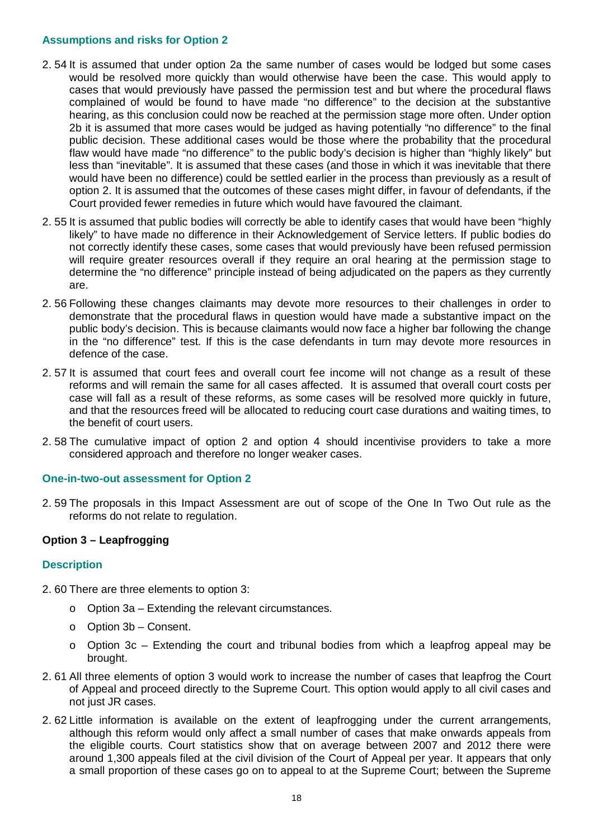### **Assumptions and risks for Option 2**

- 2. 54 It is assumed that under option 2a the same number of cases would be lodged but some cases would be resolved more quickly than would otherwise have been the case. This would apply to cases that would previously have passed the permission test and but where the procedural flaws complained of would be found to have made "no difference" to the decision at the substantive hearing, as this conclusion could now be reached at the permission stage more often. Under option 2b it is assumed that more cases would be judged as having potentially "no difference" to the final public decision. These additional cases would be those where the probability that the procedural flaw would have made "no difference" to the public body's decision is higher than "highly likely" but less than "inevitable". It is assumed that these cases (and those in which it was inevitable that there would have been no difference) could be settled earlier in the process than previously as a result of option 2. It is assumed that the outcomes of these cases might differ, in favour of defendants, if the Court provided fewer remedies in future which would have favoured the claimant.
- 2. 55 It is assumed that public bodies will correctly be able to identify cases that would have been "highly likely" to have made no difference in their Acknowledgement of Service letters. If public bodies do not correctly identify these cases, some cases that would previously have been refused permission will require greater resources overall if they require an oral hearing at the permission stage to determine the "no difference" principle instead of being adjudicated on the papers as they currently are.
- 2. 56 Following these changes claimants may devote more resources to their challenges in order to demonstrate that the procedural flaws in question would have made a substantive impact on the public body's decision. This is because claimants would now face a higher bar following the change in the "no difference" test. If this is the case defendants in turn may devote more resources in defence of the case.
- 2. 57 It is assumed that court fees and overall court fee income will not change as a result of these reforms and will remain the same for all cases affected. It is assumed that overall court costs per case will fall as a result of these reforms, as some cases will be resolved more quickly in future, and that the resources freed will be allocated to reducing court case durations and waiting times, to the benefit of court users.
- 2. 58 The cumulative impact of option 2 and option 4 should incentivise providers to take a more considered approach and therefore no longer weaker cases.

#### **One-in-two-out assessment for Option 2**

2. 59 The proposals in this Impact Assessment are out of scope of the One In Two Out rule as the reforms do not relate to regulation.

## **Option 3 – Leapfrogging**

#### **Description**

- 2. 60 There are three elements to option 3:
	- o Option 3a Extending the relevant circumstances.
	- o Option 3b Consent.
	- o Option 3c Extending the court and tribunal bodies from which a leapfrog appeal may be brought.
- 2. 61 All three elements of option 3 would work to increase the number of cases that leapfrog the Court of Appeal and proceed directly to the Supreme Court. This option would apply to all civil cases and not just JR cases.
- 2. 62 Little information is available on the extent of leapfrogging under the current arrangements, although this reform would only affect a small number of cases that make onwards appeals from the eligible courts. Court statistics show that on average between 2007 and 2012 there were around 1,300 appeals filed at the civil division of the Court of Appeal per year. It appears that only a small proportion of these cases go on to appeal to at the Supreme Court; between the Supreme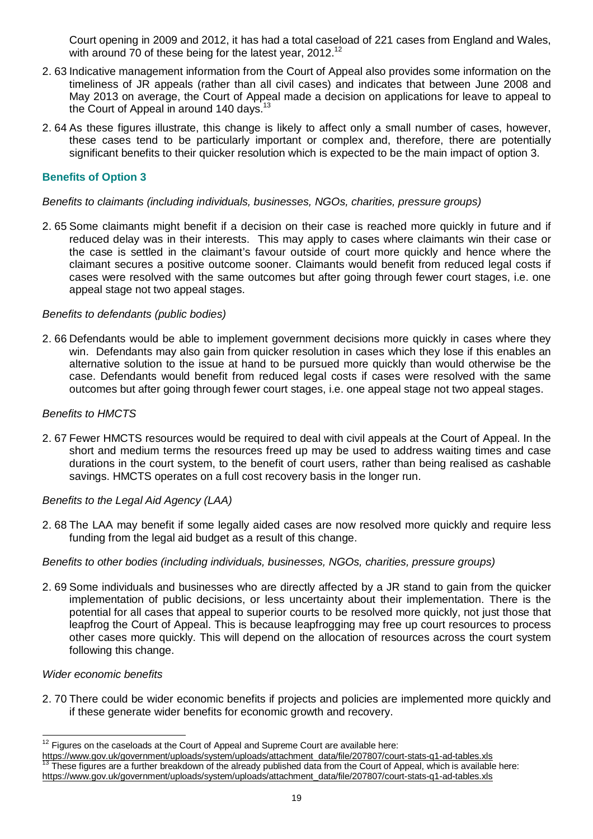Court opening in 2009 and 2012, it has had a total caseload of 221 cases from England and Wales, with around  $70$  of these being for the latest year,  $2012<sup>12</sup>$ 

- 2. 63 Indicative management information from the Court of Appeal also provides some information on the timeliness of JR appeals (rather than all civil cases) and indicates that between June 2008 and May 2013 on average, the Court of Appeal made a decision on applications for leave to appeal to the Court of Appeal in around 140 days.<sup>13</sup>
- 2. 64 As these figures illustrate, this change is likely to affect only a small number of cases, however, these cases tend to be particularly important or complex and, therefore, there are potentially significant benefits to their quicker resolution which is expected to be the main impact of option 3.

## **Benefits of Option 3**

### *Benefits to claimants (including individuals, businesses, NGOs, charities, pressure groups)*

2. 65 Some claimants might benefit if a decision on their case is reached more quickly in future and if reduced delay was in their interests. This may apply to cases where claimants win their case or the case is settled in the claimant's favour outside of court more quickly and hence where the claimant secures a positive outcome sooner. Claimants would benefit from reduced legal costs if cases were resolved with the same outcomes but after going through fewer court stages, i.e. one appeal stage not two appeal stages.

#### *Benefits to defendants (public bodies)*

2. 66 Defendants would be able to implement government decisions more quickly in cases where they win. Defendants may also gain from quicker resolution in cases which they lose if this enables an alternative solution to the issue at hand to be pursued more quickly than would otherwise be the case. Defendants would benefit from reduced legal costs if cases were resolved with the same outcomes but after going through fewer court stages, i.e. one appeal stage not two appeal stages.

#### *Benefits to HMCTS*

2. 67 Fewer HMCTS resources would be required to deal with civil appeals at the Court of Appeal. In the short and medium terms the resources freed up may be used to address waiting times and case durations in the court system, to the benefit of court users, rather than being realised as cashable savings. HMCTS operates on a full cost recovery basis in the longer run.

## *Benefits to the Legal Aid Agency (LAA)*

2. 68 The LAA may benefit if some legally aided cases are now resolved more quickly and require less funding from the legal aid budget as a result of this change.

#### *Benefits to other bodies (including individuals, businesses, NGOs, charities, pressure groups)*

2. 69 Some individuals and businesses who are directly affected by a JR stand to gain from the quicker implementation of public decisions, or less uncertainty about their implementation. There is the potential for all cases that appeal to superior courts to be resolved more quickly, not just those that leapfrog the Court of Appeal. This is because leapfrogging may free up court resources to process other cases more quickly. This will depend on the allocation of resources across the court system following this change.

#### *Wider economic benefits*

 $\overline{a}$ 

2. 70 There could be wider economic benefits if projects and policies are implemented more quickly and if these generate wider benefits for economic growth and recovery.

 $12$  Figures on the caseloads at the Court of Appeal and Supreme Court are available here:

https://www.gov.uk/government/uploads/system/uploads/attachment\_data/file/207807/court-stats-q1-ad-tables.xls These figures are a further breakdown of the already published data from the Court of Appeal, which is available here: https://www.gov.uk/government/uploads/system/uploads/attachment\_data/file/207807/court-stats-q1-ad-tables.xls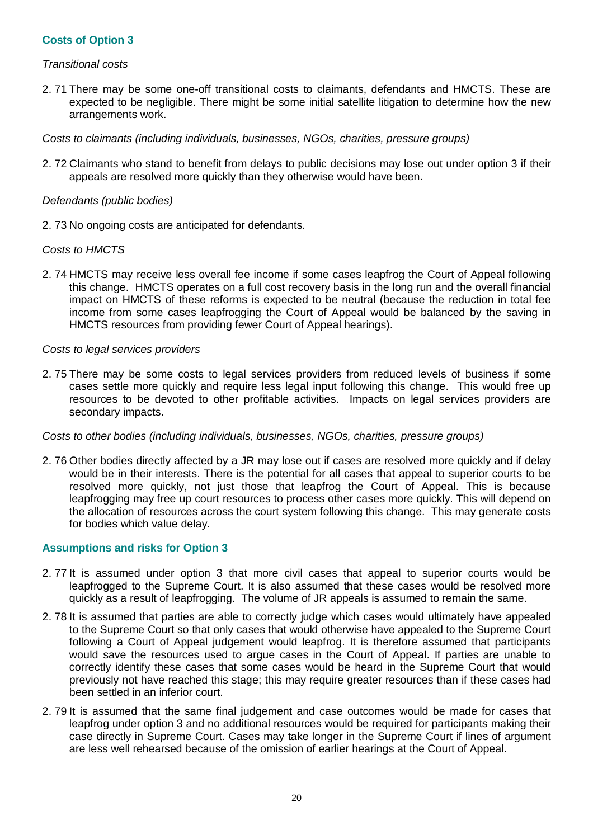## **Costs of Option 3**

#### *Transitional costs*

2. 71 There may be some one-off transitional costs to claimants, defendants and HMCTS. These are expected to be negligible. There might be some initial satellite litigation to determine how the new arrangements work.

*Costs to claimants (including individuals, businesses, NGOs, charities, pressure groups)*

2. 72 Claimants who stand to benefit from delays to public decisions may lose out under option 3 if their appeals are resolved more quickly than they otherwise would have been.

### *Defendants (public bodies)*

2. 73 No ongoing costs are anticipated for defendants.

#### *Costs to HMCTS*

2. 74 HMCTS may receive less overall fee income if some cases leapfrog the Court of Appeal following this change. HMCTS operates on a full cost recovery basis in the long run and the overall financial impact on HMCTS of these reforms is expected to be neutral (because the reduction in total fee income from some cases leapfrogging the Court of Appeal would be balanced by the saving in HMCTS resources from providing fewer Court of Appeal hearings).

#### *Costs to legal services providers*

2. 75 There may be some costs to legal services providers from reduced levels of business if some cases settle more quickly and require less legal input following this change. This would free up resources to be devoted to other profitable activities. Impacts on legal services providers are secondary impacts.

## *Costs to other bodies (including individuals, businesses, NGOs, charities, pressure groups)*

2. 76 Other bodies directly affected by a JR may lose out if cases are resolved more quickly and if delay would be in their interests. There is the potential for all cases that appeal to superior courts to be resolved more quickly, not just those that leapfrog the Court of Appeal. This is because leapfrogging may free up court resources to process other cases more quickly. This will depend on the allocation of resources across the court system following this change. This may generate costs for bodies which value delay.

## **Assumptions and risks for Option 3**

- 2. 77 It is assumed under option 3 that more civil cases that appeal to superior courts would be leapfrogged to the Supreme Court. It is also assumed that these cases would be resolved more quickly as a result of leapfrogging. The volume of JR appeals is assumed to remain the same.
- 2. 78 It is assumed that parties are able to correctly judge which cases would ultimately have appealed to the Supreme Court so that only cases that would otherwise have appealed to the Supreme Court following a Court of Appeal judgement would leapfrog. It is therefore assumed that participants would save the resources used to argue cases in the Court of Appeal. If parties are unable to correctly identify these cases that some cases would be heard in the Supreme Court that would previously not have reached this stage; this may require greater resources than if these cases had been settled in an inferior court.
- 2. 79 It is assumed that the same final judgement and case outcomes would be made for cases that leapfrog under option 3 and no additional resources would be required for participants making their case directly in Supreme Court. Cases may take longer in the Supreme Court if lines of argument are less well rehearsed because of the omission of earlier hearings at the Court of Appeal.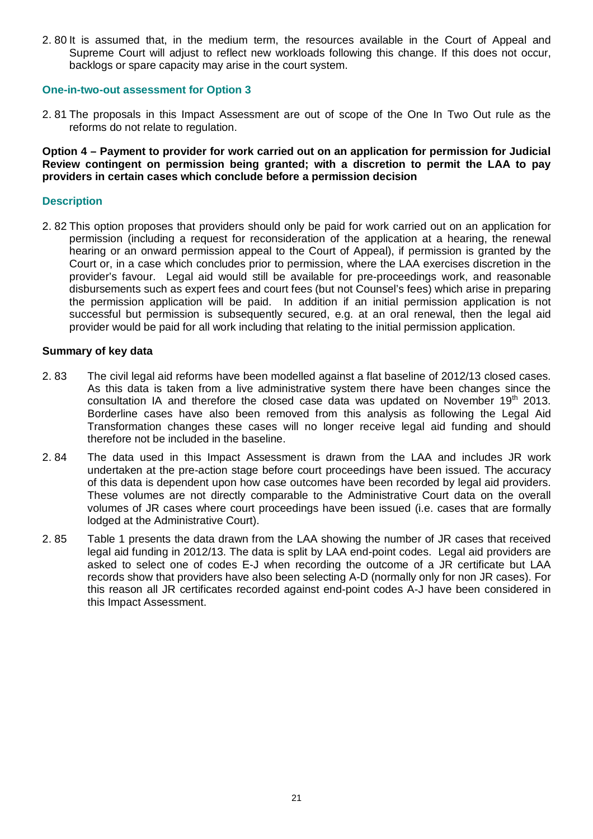2. 80 It is assumed that, in the medium term, the resources available in the Court of Appeal and Supreme Court will adjust to reflect new workloads following this change. If this does not occur, backlogs or spare capacity may arise in the court system.

#### **One-in-two-out assessment for Option 3**

2. 81 The proposals in this Impact Assessment are out of scope of the One In Two Out rule as the reforms do not relate to regulation.

**Option 4 – Payment to provider for work carried out on an application for permission for Judicial Review contingent on permission being granted; with a discretion to permit the LAA to pay providers in certain cases which conclude before a permission decision**

#### **Description**

2. 82 This option proposes that providers should only be paid for work carried out on an application for permission (including a request for reconsideration of the application at a hearing, the renewal hearing or an onward permission appeal to the Court of Appeal), if permission is granted by the Court or, in a case which concludes prior to permission, where the LAA exercises discretion in the provider's favour. Legal aid would still be available for pre-proceedings work, and reasonable disbursements such as expert fees and court fees (but not Counsel's fees) which arise in preparing the permission application will be paid. In addition if an initial permission application is not successful but permission is subsequently secured, e.g. at an oral renewal, then the legal aid provider would be paid for all work including that relating to the initial permission application.

#### **Summary of key data**

- 2. 83 The civil legal aid reforms have been modelled against a flat baseline of 2012/13 closed cases. As this data is taken from a live administrative system there have been changes since the consultation IA and therefore the closed case data was updated on November 19<sup>th</sup> 2013. Borderline cases have also been removed from this analysis as following the Legal Aid Transformation changes these cases will no longer receive legal aid funding and should therefore not be included in the baseline.
- 2. 84 The data used in this Impact Assessment is drawn from the LAA and includes JR work undertaken at the pre-action stage before court proceedings have been issued. The accuracy of this data is dependent upon how case outcomes have been recorded by legal aid providers. These volumes are not directly comparable to the Administrative Court data on the overall volumes of JR cases where court proceedings have been issued (i.e. cases that are formally lodged at the Administrative Court).
- 2. 85 Table 1 presents the data drawn from the LAA showing the number of JR cases that received legal aid funding in 2012/13. The data is split by LAA end-point codes. Legal aid providers are asked to select one of codes E-J when recording the outcome of a JR certificate but LAA records show that providers have also been selecting A-D (normally only for non JR cases). For this reason all JR certificates recorded against end-point codes A-J have been considered in this Impact Assessment.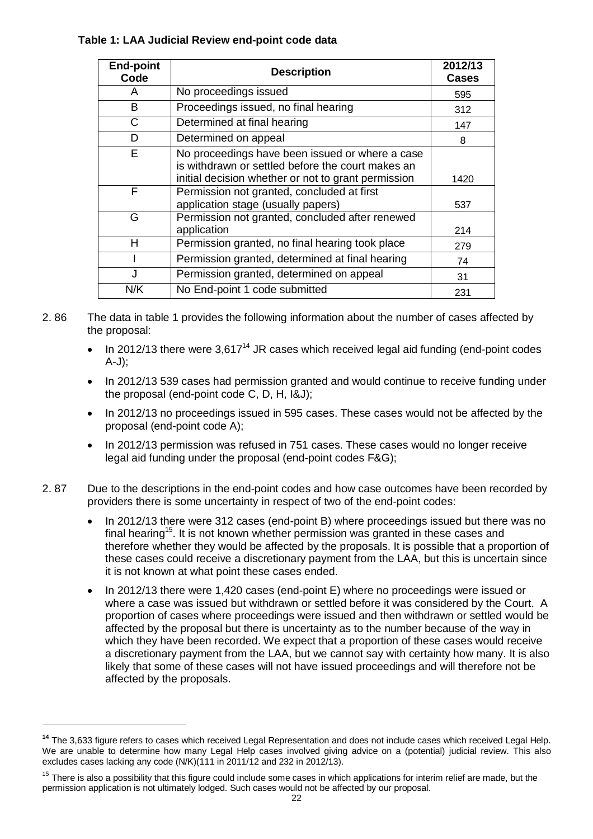## **Table 1: LAA Judicial Review end-point code data**

| <b>End-point</b><br>Code | <b>Description</b>                                                                                   | 2012/13<br><b>Cases</b> |
|--------------------------|------------------------------------------------------------------------------------------------------|-------------------------|
| A                        | No proceedings issued                                                                                | 595                     |
| B                        | Proceedings issued, no final hearing                                                                 | 312                     |
| C                        | Determined at final hearing                                                                          | 147                     |
| D                        | Determined on appeal                                                                                 | 8                       |
| E                        | No proceedings have been issued or where a case<br>is withdrawn or settled before the court makes an |                         |
|                          | initial decision whether or not to grant permission                                                  | 1420                    |
| F                        | Permission not granted, concluded at first<br>application stage (usually papers)                     | 537                     |
| G                        | Permission not granted, concluded after renewed<br>application                                       | 214                     |
| H                        | Permission granted, no final hearing took place                                                      | 279                     |
|                          | Permission granted, determined at final hearing                                                      | 74                      |
|                          | Permission granted, determined on appeal                                                             | 31                      |
| N/K                      | No End-point 1 code submitted                                                                        | 231                     |

- 2. 86 The data in table 1 provides the following information about the number of cases affected by the proposal:
	- In 2012/13 there were  $3.617<sup>14</sup>$  JR cases which received legal aid funding (end-point codes A-J);
	- In 2012/13 539 cases had permission granted and would continue to receive funding under the proposal (end-point code C, D, H, I&J);
	- In 2012/13 no proceedings issued in 595 cases. These cases would not be affected by the proposal (end-point code A);
	- In 2012/13 permission was refused in 751 cases. These cases would no longer receive legal aid funding under the proposal (end-point codes F&G);
- 2. 87 Due to the descriptions in the end-point codes and how case outcomes have been recorded by providers there is some uncertainty in respect of two of the end-point codes:
	- In 2012/13 there were 312 cases (end-point B) where proceedings issued but there was no final hearing<sup>15</sup>. It is not known whether permission was granted in these cases and therefore whether they would be affected by the proposals. It is possible that a proportion of these cases could receive a discretionary payment from the LAA, but this is uncertain since it is not known at what point these cases ended.
	- In 2012/13 there were 1,420 cases (end-point E) where no proceedings were issued or where a case was issued but withdrawn or settled before it was considered by the Court. A proportion of cases where proceedings were issued and then withdrawn or settled would be affected by the proposal but there is uncertainty as to the number because of the way in which they have been recorded. We expect that a proportion of these cases would receive a discretionary payment from the LAA, but we cannot say with certainty how many. It is also likely that some of these cases will not have issued proceedings and will therefore not be affected by the proposals.

 $\overline{a}$ 

**<sup>14</sup>** The 3,633 figure refers to cases which received Legal Representation and does not include cases which received Legal Help. We are unable to determine how many Legal Help cases involved giving advice on a (potential) judicial review. This also excludes cases lacking any code (N/K)(111 in 2011/12 and 232 in 2012/13).

<sup>&</sup>lt;sup>15</sup> There is also a possibility that this figure could include some cases in which applications for interim relief are made, but the permission application is not ultimately lodged. Such cases would not be affected by our proposal.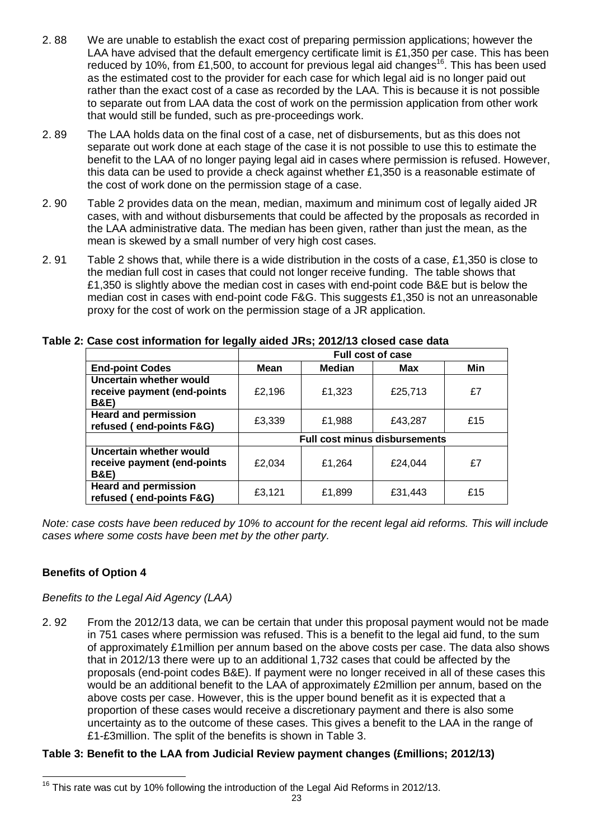- 2. 88 We are unable to establish the exact cost of preparing permission applications; however the LAA have advised that the default emergency certificate limit is £1,350 per case. This has been reduced by 10%, from £1,500, to account for previous legal aid changes<sup>16</sup>. This has been used as the estimated cost to the provider for each case for which legal aid is no longer paid out rather than the exact cost of a case as recorded by the LAA. This is because it is not possible to separate out from LAA data the cost of work on the permission application from other work that would still be funded, such as pre-proceedings work.
- 2. 89 The LAA holds data on the final cost of a case, net of disbursements, but as this does not separate out work done at each stage of the case it is not possible to use this to estimate the benefit to the LAA of no longer paying legal aid in cases where permission is refused. However, this data can be used to provide a check against whether £1,350 is a reasonable estimate of the cost of work done on the permission stage of a case.
- 2. 90 Table 2 provides data on the mean, median, maximum and minimum cost of legally aided JR cases, with and without disbursements that could be affected by the proposals as recorded in the LAA administrative data. The median has been given, rather than just the mean, as the mean is skewed by a small number of very high cost cases.
- 2. 91 Table 2 shows that, while there is a wide distribution in the costs of a case, £1,350 is close to the median full cost in cases that could not longer receive funding. The table shows that £1,350 is slightly above the median cost in cases with end-point code B&E but is below the median cost in cases with end-point code F&G. This suggests £1,350 is not an unreasonable proxy for the cost of work on the permission stage of a JR application.

|                                                                           |        |                                      | <b>Full cost of case</b> |     |
|---------------------------------------------------------------------------|--------|--------------------------------------|--------------------------|-----|
| <b>End-point Codes</b>                                                    | Mean   | <b>Median</b>                        | Max                      | Min |
| Uncertain whether would<br>receive payment (end-points<br><b>B&amp;E)</b> | £2,196 | £1,323                               | £25,713                  | £7  |
| <b>Heard and permission</b><br>refused (end-points F&G)                   | £3,339 | £1,988                               | £43,287                  | £15 |
|                                                                           |        | <b>Full cost minus disbursements</b> |                          |     |
| Uncertain whether would<br>receive payment (end-points<br><b>B&amp;E)</b> | £2,034 | £1,264                               | £24,044                  | £7  |
| <b>Heard and permission</b><br>refused (end-points F&G)                   | £3,121 | £1,899                               | £31,443                  | £15 |

## **Table 2: Case cost information for legally aided JRs; 2012/13 closed case data**

*Note: case costs have been reduced by 10% to account for the recent legal aid reforms. This will include cases where some costs have been met by the other party.*

## **Benefits of Option 4**

*Benefits to the Legal Aid Agency (LAA)* 

2. 92 From the 2012/13 data, we can be certain that under this proposal payment would not be made in 751 cases where permission was refused. This is a benefit to the legal aid fund, to the sum of approximately £1million per annum based on the above costs per case. The data also shows that in 2012/13 there were up to an additional 1,732 cases that could be affected by the proposals (end-point codes B&E). If payment were no longer received in all of these cases this would be an additional benefit to the LAA of approximately £2million per annum, based on the above costs per case. However, this is the upper bound benefit as it is expected that a proportion of these cases would receive a discretionary payment and there is also some uncertainty as to the outcome of these cases. This gives a benefit to the LAA in the range of £1-£3million. The split of the benefits is shown in Table 3.

## **Table 3: Benefit to the LAA from Judicial Review payment changes (£millions; 2012/13)**

 $\overline{\phantom{a}}$  $16$  This rate was cut by 10% following the introduction of the Legal Aid Reforms in 2012/13.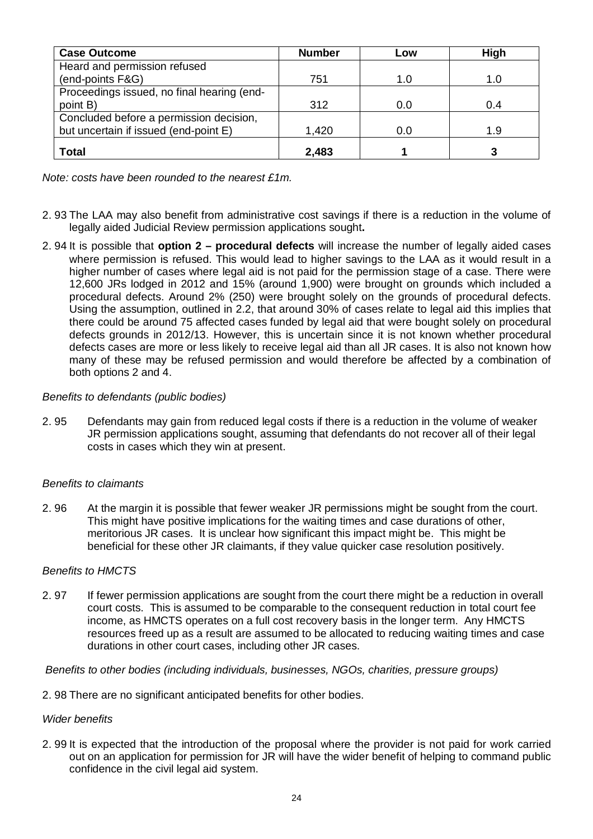| <b>Number</b> | Low   | High |
|---------------|-------|------|
|               |       |      |
| 751           | 1.0   | 1.0  |
|               |       |      |
| 312           | 0.0   | 0.4  |
|               |       |      |
| 1,420         | 0.0   | 1.9  |
|               |       | 3    |
|               | 2,483 |      |

*Note: costs have been rounded to the nearest £1m.*

- 2. 93 The LAA may also benefit from administrative cost savings if there is a reduction in the volume of legally aided Judicial Review permission applications sought**.**
- 2. 94 It is possible that **option 2 procedural defects** will increase the number of legally aided cases where permission is refused. This would lead to higher savings to the LAA as it would result in a higher number of cases where legal aid is not paid for the permission stage of a case. There were 12,600 JRs lodged in 2012 and 15% (around 1,900) were brought on grounds which included a procedural defects. Around 2% (250) were brought solely on the grounds of procedural defects. Using the assumption, outlined in 2.2, that around 30% of cases relate to legal aid this implies that there could be around 75 affected cases funded by legal aid that were bought solely on procedural defects grounds in 2012/13. However, this is uncertain since it is not known whether procedural defects cases are more or less likely to receive legal aid than all JR cases. It is also not known how many of these may be refused permission and would therefore be affected by a combination of both options 2 and 4.

## *Benefits to defendants (public bodies)*

2. 95 Defendants may gain from reduced legal costs if there is a reduction in the volume of weaker JR permission applications sought, assuming that defendants do not recover all of their legal costs in cases which they win at present.

#### *Benefits to claimants*

2. 96 At the margin it is possible that fewer weaker JR permissions might be sought from the court. This might have positive implications for the waiting times and case durations of other, meritorious JR cases. It is unclear how significant this impact might be. This might be beneficial for these other JR claimants, if they value quicker case resolution positively.

#### *Benefits to HMCTS*

2. 97 If fewer permission applications are sought from the court there might be a reduction in overall court costs. This is assumed to be comparable to the consequent reduction in total court fee income, as HMCTS operates on a full cost recovery basis in the longer term. Any HMCTS resources freed up as a result are assumed to be allocated to reducing waiting times and case durations in other court cases, including other JR cases.

#### *Benefits to other bodies (including individuals, businesses, NGOs, charities, pressure groups)*

2. 98 There are no significant anticipated benefits for other bodies.

#### *Wider benefits*

2. 99 It is expected that the introduction of the proposal where the provider is not paid for work carried out on an application for permission for JR will have the wider benefit of helping to command public confidence in the civil legal aid system.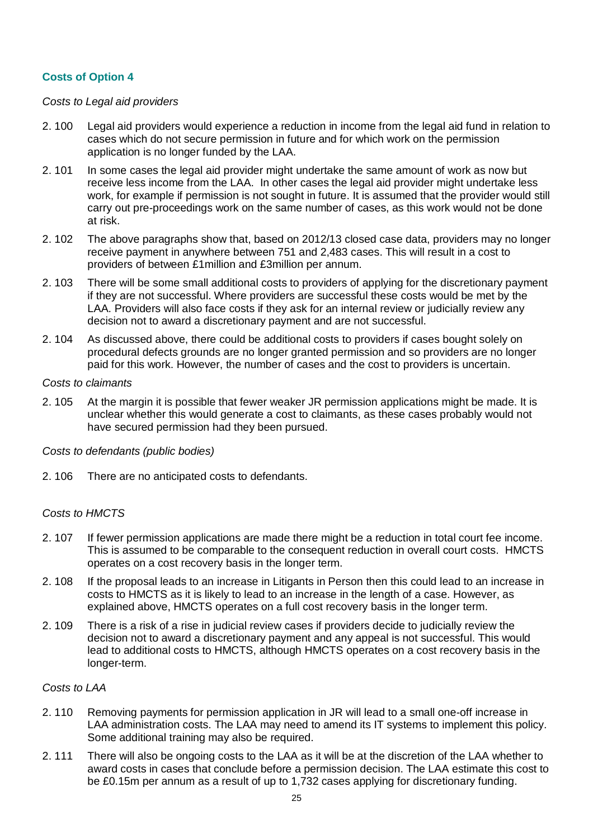## **Costs of Option 4**

### *Costs to Legal aid providers*

- 2. 100 Legal aid providers would experience a reduction in income from the legal aid fund in relation to cases which do not secure permission in future and for which work on the permission application is no longer funded by the LAA.
- 2. 101 In some cases the legal aid provider might undertake the same amount of work as now but receive less income from the LAA. In other cases the legal aid provider might undertake less work, for example if permission is not sought in future. It is assumed that the provider would still carry out pre-proceedings work on the same number of cases, as this work would not be done at risk.
- 2. 102 The above paragraphs show that, based on 2012/13 closed case data, providers may no longer receive payment in anywhere between 751 and 2,483 cases. This will result in a cost to providers of between £1million and £3million per annum.
- 2. 103 There will be some small additional costs to providers of applying for the discretionary payment if they are not successful. Where providers are successful these costs would be met by the LAA. Providers will also face costs if they ask for an internal review or judicially review any decision not to award a discretionary payment and are not successful.
- 2. 104 As discussed above, there could be additional costs to providers if cases bought solely on procedural defects grounds are no longer granted permission and so providers are no longer paid for this work. However, the number of cases and the cost to providers is uncertain.

#### *Costs to claimants*

2. 105 At the margin it is possible that fewer weaker JR permission applications might be made. It is unclear whether this would generate a cost to claimants, as these cases probably would not have secured permission had they been pursued.

#### *Costs to defendants (public bodies)*

2. 106 There are no anticipated costs to defendants.

## *Costs to HMCTS*

- 2. 107 If fewer permission applications are made there might be a reduction in total court fee income. This is assumed to be comparable to the consequent reduction in overall court costs. HMCTS operates on a cost recovery basis in the longer term.
- 2. 108 If the proposal leads to an increase in Litigants in Person then this could lead to an increase in costs to HMCTS as it is likely to lead to an increase in the length of a case. However, as explained above, HMCTS operates on a full cost recovery basis in the longer term.
- 2. 109 There is a risk of a rise in judicial review cases if providers decide to judicially review the decision not to award a discretionary payment and any appeal is not successful. This would lead to additional costs to HMCTS, although HMCTS operates on a cost recovery basis in the longer-term.

#### *Costs to LAA*

- 2. 110 Removing payments for permission application in JR will lead to a small one-off increase in LAA administration costs. The LAA may need to amend its IT systems to implement this policy. Some additional training may also be required.
- 2. 111 There will also be ongoing costs to the LAA as it will be at the discretion of the LAA whether to award costs in cases that conclude before a permission decision. The LAA estimate this cost to be £0.15m per annum as a result of up to 1,732 cases applying for discretionary funding.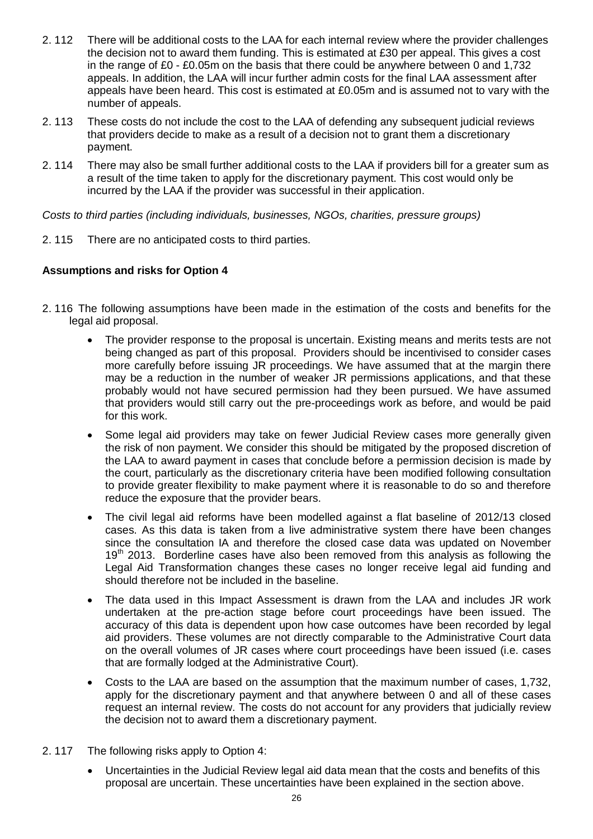- 2. 112 There will be additional costs to the LAA for each internal review where the provider challenges the decision not to award them funding. This is estimated at £30 per appeal. This gives a cost in the range of £0 - £0.05m on the basis that there could be anywhere between 0 and 1,732 appeals. In addition, the LAA will incur further admin costs for the final LAA assessment after appeals have been heard. This cost is estimated at £0.05m and is assumed not to vary with the number of appeals.
- 2. 113 These costs do not include the cost to the LAA of defending any subsequent judicial reviews that providers decide to make as a result of a decision not to grant them a discretionary payment.
- 2. 114 There may also be small further additional costs to the LAA if providers bill for a greater sum as a result of the time taken to apply for the discretionary payment. This cost would only be incurred by the LAA if the provider was successful in their application.

*Costs to third parties (including individuals, businesses, NGOs, charities, pressure groups)*

2. 115 There are no anticipated costs to third parties.

## **Assumptions and risks for Option 4**

- 2. 116 The following assumptions have been made in the estimation of the costs and benefits for the legal aid proposal.
	- The provider response to the proposal is uncertain. Existing means and merits tests are not being changed as part of this proposal. Providers should be incentivised to consider cases more carefully before issuing JR proceedings. We have assumed that at the margin there may be a reduction in the number of weaker JR permissions applications, and that these probably would not have secured permission had they been pursued. We have assumed that providers would still carry out the pre-proceedings work as before, and would be paid for this work.
	- Some legal aid providers may take on fewer Judicial Review cases more generally given the risk of non payment. We consider this should be mitigated by the proposed discretion of the LAA to award payment in cases that conclude before a permission decision is made by the court, particularly as the discretionary criteria have been modified following consultation to provide greater flexibility to make payment where it is reasonable to do so and therefore reduce the exposure that the provider bears.
	- The civil legal aid reforms have been modelled against a flat baseline of 2012/13 closed cases. As this data is taken from a live administrative system there have been changes since the consultation IA and therefore the closed case data was updated on November 19<sup>th</sup> 2013. Borderline cases have also been removed from this analysis as following the Legal Aid Transformation changes these cases no longer receive legal aid funding and should therefore not be included in the baseline.
	- The data used in this Impact Assessment is drawn from the LAA and includes JR work undertaken at the pre-action stage before court proceedings have been issued. The accuracy of this data is dependent upon how case outcomes have been recorded by legal aid providers. These volumes are not directly comparable to the Administrative Court data on the overall volumes of JR cases where court proceedings have been issued (i.e. cases that are formally lodged at the Administrative Court).
	- Costs to the LAA are based on the assumption that the maximum number of cases, 1,732, apply for the discretionary payment and that anywhere between 0 and all of these cases request an internal review. The costs do not account for any providers that judicially review the decision not to award them a discretionary payment.
- 2. 117 The following risks apply to Option 4:
	- Uncertainties in the Judicial Review legal aid data mean that the costs and benefits of this proposal are uncertain. These uncertainties have been explained in the section above.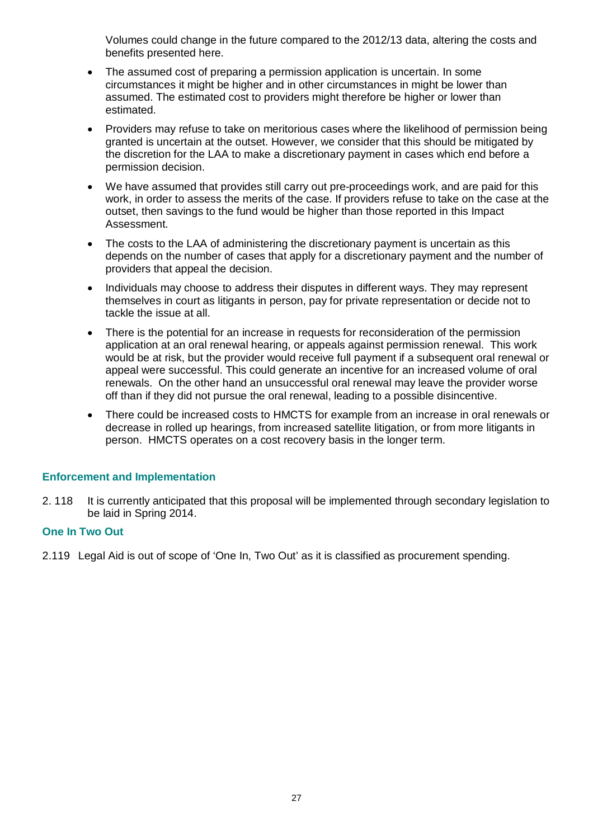Volumes could change in the future compared to the 2012/13 data, altering the costs and benefits presented here.

- The assumed cost of preparing a permission application is uncertain. In some circumstances it might be higher and in other circumstances in might be lower than assumed. The estimated cost to providers might therefore be higher or lower than estimated.
- Providers may refuse to take on meritorious cases where the likelihood of permission being granted is uncertain at the outset. However, we consider that this should be mitigated by the discretion for the LAA to make a discretionary payment in cases which end before a permission decision.
- We have assumed that provides still carry out pre-proceedings work, and are paid for this work, in order to assess the merits of the case. If providers refuse to take on the case at the outset, then savings to the fund would be higher than those reported in this Impact Assessment.
- The costs to the LAA of administering the discretionary payment is uncertain as this depends on the number of cases that apply for a discretionary payment and the number of providers that appeal the decision.
- Individuals may choose to address their disputes in different ways. They may represent themselves in court as litigants in person, pay for private representation or decide not to tackle the issue at all.
- There is the potential for an increase in requests for reconsideration of the permission application at an oral renewal hearing, or appeals against permission renewal. This work would be at risk, but the provider would receive full payment if a subsequent oral renewal or appeal were successful. This could generate an incentive for an increased volume of oral renewals. On the other hand an unsuccessful oral renewal may leave the provider worse off than if they did not pursue the oral renewal, leading to a possible disincentive.
- There could be increased costs to HMCTS for example from an increase in oral renewals or decrease in rolled up hearings, from increased satellite litigation, or from more litigants in person. HMCTS operates on a cost recovery basis in the longer term.

## **Enforcement and Implementation**

2. 118 It is currently anticipated that this proposal will be implemented through secondary legislation to be laid in Spring 2014.

## **One In Two Out**

2.119 Legal Aid is out of scope of 'One In, Two Out' as it is classified as procurement spending.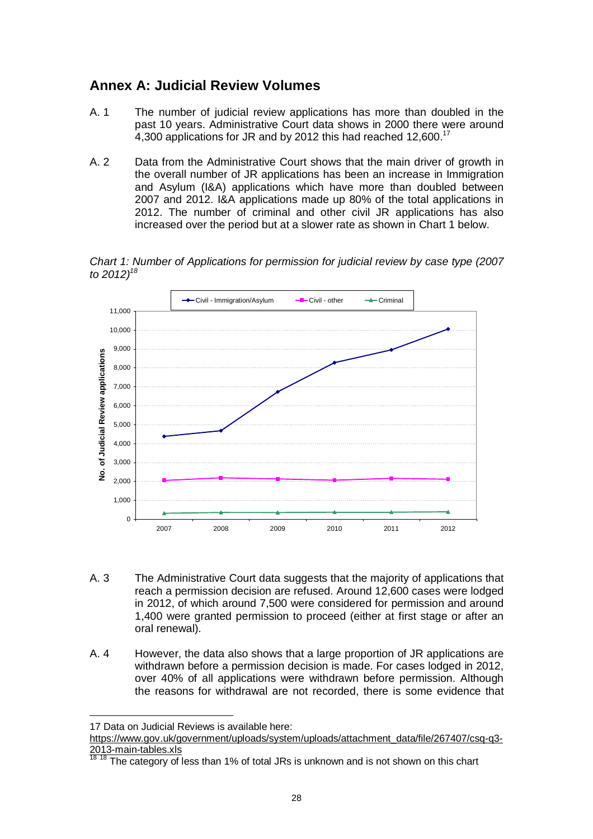## **Annex A: Judicial Review Volumes**

- A. 1 The number of judicial review applications has more than doubled in the past 10 years. Administrative Court data shows in 2000 there were around 4,300 applications for JR and by 2012 this had reached 12,600.<sup>17</sup>
- A. 2 Data from the Administrative Court shows that the main driver of growth in the overall number of JR applications has been an increase in Immigration and Asylum (I&A) applications which have more than doubled between 2007 and 2012. I&A applications made up 80% of the total applications in 2012. The number of criminal and other civil JR applications has also increased over the period but at a slower rate as shown in Chart 1 below.

*Chart 1: Number of Applications for permission for judicial review by case type (2007 to 2012)<sup>18</sup>*



- A. 3 The Administrative Court data suggests that the majority of applications that reach a permission decision are refused. Around 12,600 cases were lodged in 2012, of which around 7,500 were considered for permission and around 1,400 were granted permission to proceed (either at first stage or after an oral renewal).
- A. 4 However, the data also shows that a large proportion of JR applications are withdrawn before a permission decision is made. For cases lodged in 2012, over 40% of all applications were withdrawn before permission. Although the reasons for withdrawal are not recorded, there is some evidence that

 $\overline{a}$ 

```
https://www.gov.uk/government/uploads/system/uploads/attachment_data/file/267407/csq-q3-
\frac{2013-main-tables.xls}{18.18 \pm h}
```
<sup>17</sup> Data on Judicial Reviews is available here:

The category of less than 1% of total JRs is unknown and is not shown on this chart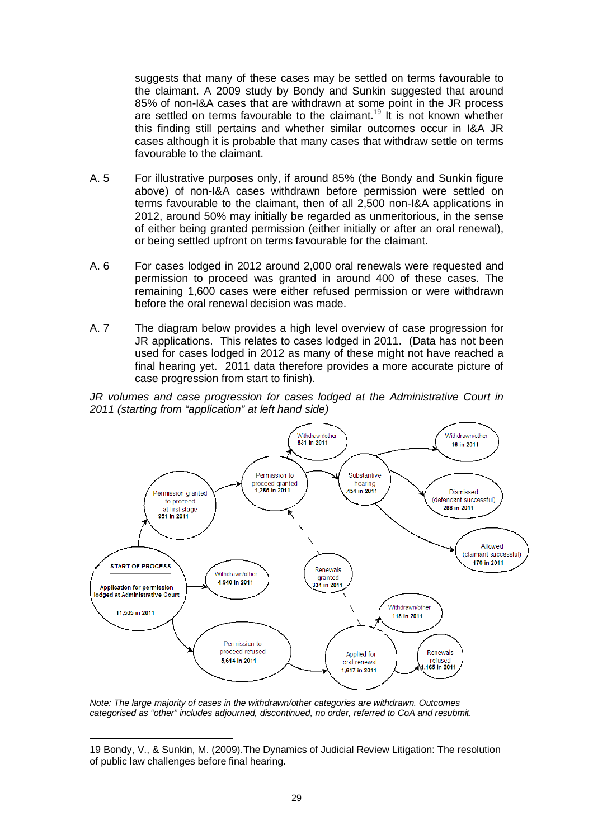suggests that many of these cases may be settled on terms favourable to the claimant. A 2009 study by Bondy and Sunkin suggested that around 85% of non-I&A cases that are withdrawn at some point in the JR process are settled on terms favourable to the claimant.<sup>19</sup> It is not known whether this finding still pertains and whether similar outcomes occur in I&A JR cases although it is probable that many cases that withdraw settle on terms favourable to the claimant.

- A. 5 For illustrative purposes only, if around 85% (the Bondy and Sunkin figure above) of non-I&A cases withdrawn before permission were settled on terms favourable to the claimant, then of all 2,500 non-I&A applications in 2012, around 50% may initially be regarded as unmeritorious, in the sense of either being granted permission (either initially or after an oral renewal), or being settled upfront on terms favourable for the claimant.
- A. 6 For cases lodged in 2012 around 2,000 oral renewals were requested and permission to proceed was granted in around 400 of these cases. The remaining 1,600 cases were either refused permission or were withdrawn before the oral renewal decision was made.
- A. 7 The diagram below provides a high level overview of case progression for JR applications. This relates to cases lodged in 2011. (Data has not been used for cases lodged in 2012 as many of these might not have reached a final hearing yet. 2011 data therefore provides a more accurate picture of case progression from start to finish).

*JR volumes and case progression for cases lodged at the Administrative Court in 2011 (starting from "application" at left hand side)* 



*Note: The large majority of cases in the withdrawn/other categories are withdrawn. Outcomes categorised as "other" includes adjourned, discontinued, no order, referred to CoA and resubmit.*

 $\overline{a}$ 19 Bondy, V., & Sunkin, M. (2009).The Dynamics of Judicial Review Litigation: The resolution of public law challenges before final hearing.